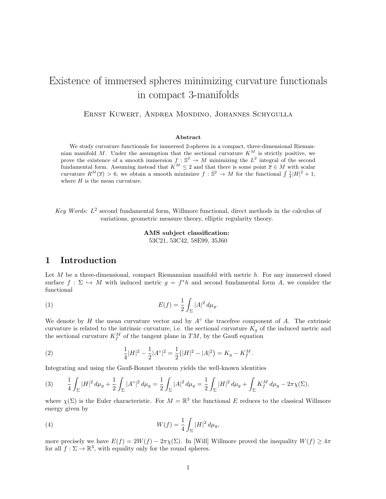# Existence of immersed spheres minimizing curvature functionals in compact 3-manifolds

Ernst Kuwert, Andrea Mondino, Johannes Schygulla

#### Abstract

We study curvature functionals for immersed 2-spheres in a compact, three-dimensional Riemannian manifold M. Under the assumption that the sectional curvature  $K^M$  is strictly positive, we prove the existence of a smooth immersion  $f : \mathbb{S}^2 \to M$  minimizing the  $L^2$  integral of the second fundamental form. Assuming instead that  $K^M \leq 2$  and that there is some point  $\overline{x} \in M$  with scalar curvature  $R^M(\overline{x}) > 6$ , we obtain a smooth minimizer  $f : \mathbb{S}^2 \to M$  for the functional  $\int \frac{1}{4} |H|^2 + 1$ , where  $H$  is the mean curvature.

Key Words:  $L^2$  second fundamental form, Willmore functional, direct methods in the calculus of variations, geometric measure theory, elliptic regularity theory.

> AMS subject classification: 53C21, 53C42, 58E99, 35J60

### 1 Introduction

Let  $M$  be a three-dimensional, compact Riemannian manifold with metric  $h$ . For any immersed closed surface  $f: \Sigma \hookrightarrow M$  with induced metric  $g = f^*h$  and second fundamental form A, we consider the functional

(1) 
$$
E(f) = \frac{1}{2} \int_{\Sigma} |A|^2 \, d\mu_g.
$$

We denote by H the mean curvature vector and by  $A^{\circ}$  the tracefree component of A. The extrinsic curvature is related to the intrinsic curvature, i.e. the sectional curvature  $K_g$  of the induced metric and the sectional curvature  $K_f^M$  of the tangent plane in TM, by the Gauß equation

(2) 
$$
\frac{1}{4}|H|^2 - \frac{1}{2}|A^{\circ}|^2 = \frac{1}{2}(|H|^2 - |A|^2) = K_g - K_f^M.
$$

Integrating and using the Gauß-Bonnet theorem yields the well-known identities

$$
(3) \qquad \frac{1}{4} \int_{\Sigma} |H|^2 \, d\mu_g + \frac{1}{2} \int_{\Sigma} |A^\circ|^2 \, d\mu_g = \frac{1}{2} \int_{\Sigma} |A|^2 \, d\mu_g = \frac{1}{2} \int_{\Sigma} |H|^2 \, d\mu_g + \int_{\Sigma} K_f^M \, d\mu_g - 2\pi \chi(\Sigma),
$$

where  $\chi(\Sigma)$  is the Euler characteristic. For  $M = \mathbb{R}^3$  the functional E reduces to the classical Willmore energy given by

(4) 
$$
W(f) = \frac{1}{4} \int_{\Sigma} |H|^2 \, d\mu_g,
$$

more precisely we have  $E(f) = 2W(f) - 2\pi\chi(\Sigma)$ . In [Will] Willmore proved the inequality  $W(f) \geq 4\pi$ for all  $f: \Sigma \to \mathbb{R}^3$ , with equality only for the round spheres.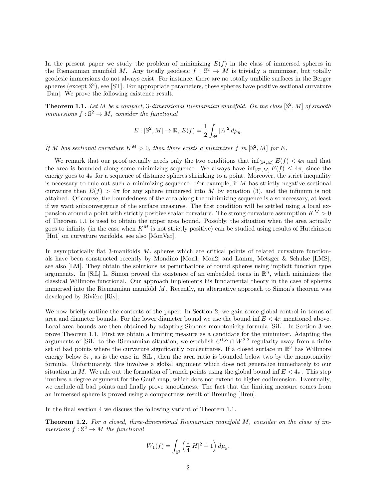In the present paper we study the problem of minimizing  $E(f)$  in the class of immersed spheres in the Riemannian manifold M. Any totally geodesic  $f : \mathbb{S}^2 \to M$  is trivially a minimizer, but totally geodesic immersions do not always exist. For instance, there are no totally umbilic surfaces in the Berger spheres (except  $\mathbb{S}^3$ ), see [ST]. For appropriate parameters, these spheres have positive sectional curvature [Dan]. We prove the following existence result.

**Theorem 1.1.** Let M be a compact, 3-dimensional Riemannian manifold. On the class  $[\mathbb{S}^2, M]$  of smooth immersions  $f : \mathbb{S}^2 \to M$ , consider the functional

$$
E: [\mathbb{S}^2, M] \to \mathbb{R}, E(f) = \frac{1}{2} \int_{\mathbb{S}^2} |A|^2 \, d\mu_g.
$$

If M has sectional curvature  $K^M > 0$ , then there exists a minimizer f in  $[\mathbb{S}^2, M]$  for E.

We remark that our proof actually needs only the two conditions that  $\inf_{[S^2,M]} E(f) < 4\pi$  and that the area is bounded along some minimizing sequence. We always have  $\inf_{\mathbb{S}^2,M} E(f) \leq 4\pi$ , since the energy goes to  $4\pi$  for a sequence of distance spheres shrinking to a point. Moreover, the strict inequality is necessary to rule out such a minimizing sequence. For example, if  $M$  has strictly negative sectional curvature then  $E(f) > 4\pi$  for any sphere immersed into M by equation (3), and the infimum is not attained. Of course, the boundedness of the area along the minimizing sequence is also necessary, at least if we want subconvergence of the surface measures. The first condition will be settled using a local expansion around a point with strictly positive scalar curvature. The strong curvature assumption  $K^M > 0$ of Theorem 1.1 is used to obtain the upper area bound. Possibly, the situation when the area actually goes to infinity (in the case when  $K^M$  is not strictly positive) can be studied using results of Hutchinson [Hu1] on curvature varifolds, see also [MonVar].

In asymptotically flat 3-manifolds  $M$ , spheres which are critical points of related curvature functionals have been constructed recently by Mondino [Mon1, Mon2] and Lamm, Metzger & Schulze [LMS], see also [LM]. They obtain the solutions as perturbations of round spheres using implicit function type arguments. In [SiL] L. Simon proved the existence of an embedded torus in  $\mathbb{R}^n$ , which minimizes the classical Willmore functional. Our approach implements his fundamental theory in the case of spheres immersed into the Riemannian manifold  $M$ . Recently, an alternative approach to Simon's theorem was developed by Rivière [Riv].

We now briefly outline the contents of the paper. In Section 2, we gain some global control in terms of area and diameter bounds. For the lower diameter bound we use the bound inf  $E < 4\pi$  mentioned above. Local area bounds are then obtained by adapting Simon's monotonicity formula [SiL]. In Section 3 we prove Theorem 1.1. First we obtain a limiting measure as a candidate for the minimizer. Adapting the arguments of [SiL] to the Riemannian situation, we establish  $C^{1,\alpha} \cap W^{2,2}$  regularity away from a finite set of bad points where the curvature significantly concentrates. If a closed surface in  $\mathbb{R}^3$  has Willmore energy below  $8\pi$ , as is the case in [SiL], then the area ratio is bounded below two by the monotonicity formula. Unfortunately, this involves a global argument which does not generalize immediately to our situation in M. We rule out the formation of branch points using the global bound inf  $E < 4\pi$ . This step involves a degree argument for the Gauß map, which does not extend to higher codimension. Eventually, we exclude all bad points and finally prove smoothness. The fact that the limiting measure comes from an immersed sphere is proved using a compactness result of Breuning [Breu].

In the final section 4 we discuss the following variant of Theorem 1.1.

Theorem 1.2. For a closed, three-dimensional Riemannian manifold M, consider on the class of immersions  $f : \mathbb{S}^2 \to M$  the functional

$$
W_1(f) = \int_{\mathbb{S}^2} \left(\frac{1}{4}|H|^2 + 1\right) d\mu_g.
$$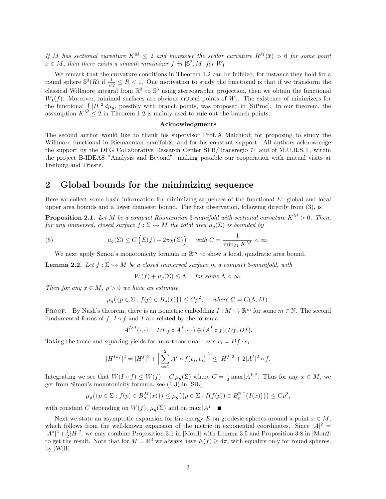If M has sectional curvature  $K^M \leq 2$  and moreover the scalar curvature  $R^M(\overline{x}) > 6$  for some point  $\overline{x} \in M$ , then there exists a smooth minimizer f in  $[\mathbb{S}^2, M]$  for  $W_1$ .

We remark that the curvature conditions in Theorem 1.2 can be fulfilled, for instance they hold for a round sphere  $\mathbb{S}^3(R)$  if  $\frac{1}{4}$  $\frac{1}{2} \leq R < 1$ . One motivation to study the functional is that if we transform the classical Willmore integral from  $\mathbb{R}^3$  to  $\mathbb{S}^3$  using stereographic projection, then we obtain the functional  $W_1(f)$ . Moreover, minimal surfaces are obvious critical points of  $W_1$ . The existence of minimizers for the functional  $\int |H|^2 d\mu_g$ , possibly with branch points, was proposed in [SiProc]. In our theorem, the assumption  $K^{\tilde{M}} \leq 2$  in Theorem 1.2 is mainly used to rule out the branch points.

#### Acknowledgments

The second author would like to thank his supervisor Prof. A. Malchiodi for proposing to study the Willmore functional in Riemannian manifolds, and for his constant support. All authors acknowledge the support by the DFG Collaborative Research Center SFB/Transregio 71 and of M.U.R.S.T, within the project B-IDEAS "Analysis and Beyond", making possible our cooperation with mutual visits at Freiburg and Trieste.

### 2 Global bounds for the minimizing sequence

Here we collect some basic information for minimizing sequences of the functional  $E$ : global and local upper area bounds and a lower diameter bound. The first observation, following directly from (3), is

**Proposition 2.1.** Let M be a compact Riemannian 3-manifold with sectional curvature  $K^M > 0$ . Then, for any immersed, closed surface  $f : \Sigma \hookrightarrow M$  the total area  $\mu_g(\Sigma)$  is bounded by

(5) 
$$
\mu_g(\Sigma) \le C\left(E(f) + 2\pi\chi(\Sigma)\right) \quad \text{with } C = \frac{1}{\min_M K^M} < \infty.
$$

We next apply Simon's monotonicity formula in  $\mathbb{R}^m$  to show a local, quadratic area bound.

**Lemma 2.2.** Let  $f : \Sigma \hookrightarrow M$  be a closed immersed surface in a compact 3-manifold, with

$$
W(f) + \mu_g(\Sigma) \le \Lambda \quad \text{ for some } \Lambda < \infty.
$$

Then for any  $x \in M$ ,  $\rho > 0$  we have an estimate

$$
\mu_g\big(\{p \in \Sigma : f(p) \in B_{\rho}(x)\}\big) \le C\rho^2, \quad \text{where } C = C(\Lambda, M).
$$

**PROOF.** By Nash's theorem, there is an isometric embedding  $I : M \hookrightarrow \mathbb{R}^m$  for some  $m \in \mathbb{N}$ . The second fundamental forms of  $f, I \circ f$  and I are related by the formula

$$
A^{I \circ f}(\cdot, \cdot) = DI|_{f} \circ A^{f}(\cdot, \cdot) \oplus (A^{I} \circ f)(Df, Df).
$$

Taking the trace and squaring yields for an orthonormal basis  $v_i = Df \cdot e_i$ 

$$
|H^{I \circ f}|^2 = |H^f|^2 + \Big|\sum_{i=1}^2 A^I \circ f(v_i, v_i)\Big|^2 \le |H^f|^2 + 2|A^I|^2 \circ f.
$$

Integrating we see that  $W(I \circ f) \leq W(f) + C \mu_g(\Sigma)$  where  $C = \frac{1}{2} \max |A^I|^2$ . Thus for any  $x \in M$ , we get from Simon's monotonicity formula, see (1.3) in [SiL],

$$
\mu_g\big(\{p \in \Sigma : f(p) \in B^M_\rho(x)\}\big) \leq \mu_g\big(\{p \in \Sigma : I(f(p)) \in B^{\mathbb{R}^m}_\rho(I(x))\}\big) \leq C\rho^2,
$$

with constant C depending on  $W(f)$ ,  $\mu_g(\Sigma)$  and on max  $|A^I|$ .

Next we state an asymptotic expansion for the energy E on geodesic spheres around a point  $x \in M$ , which follows from the well-known expansion of the metric in exponential coordinates. Since  $|A|^2 =$  $|A^{\circ}|^2 + \frac{1}{2}|H|^2$ , we may combine Proposition 3.1 in [Mon1] with Lemma 3.5 and Proposition 3.8 in [Mon2] to get the result. Note that for  $M = \mathbb{R}^3$  we always have  $E(f) \geq 4\pi$ , with equality only for round spheres, by [Will].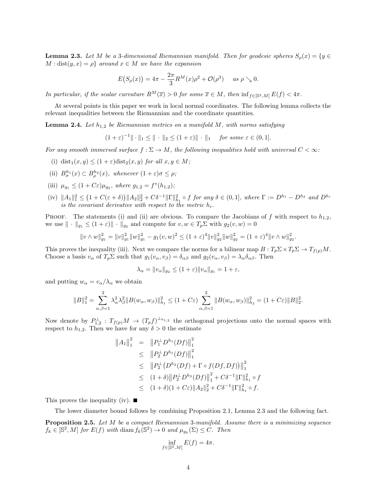**Lemma 2.3.** Let M be a 3-dimensional Riemannian manifold. Then for geodesic spheres  $S_o(x) = \{y \in \mathbb{R}^n : |f(x)| \leq 1\}$  $M : dist(y, x) = \rho$  around  $x \in M$  we have the expansion

$$
E(S_{\rho}(x)) = 4\pi - \frac{2\pi}{3}R^{M}(x)\rho^{2} + \mathcal{O}(\rho^{3}) \quad \text{as } \rho \searrow 0.
$$

In particular, if the scalar curvature  $R^M(\overline{x}) > 0$  for some  $\overline{x} \in M$ , then  $\inf_{f \in [\mathbb{S}^2, M]} E(f) < 4\pi$ .

At several points in this paper we work in local normal coordinates. The following lemma collects the relevant inequalities between the Riemannian and the coordinate quantities.

**Lemma 2.4.** Let  $h_{1,2}$  be Riemannian metrics on a manifold M, with norms satisfying

$$
(1+\varepsilon)^{-1} \|\cdot\|_1 \le \|\cdot\|_2 \le (1+\varepsilon) \|\cdot\|_1 \quad \text{for some } \varepsilon \in (0,1].
$$

For any smooth immersed surface  $f : \Sigma \to M$ , the following inequalities hold with universal  $C < \infty$ :

- (i) dist<sub>1</sub> $(x, y) \leq (1 + \varepsilon)$ dist<sub>2</sub> $(x, y)$  for all  $x, y \in M$ ;
- (ii)  $B^{h_1}_{\sigma}(x) \subset B^{h_2}_{\rho}(x)$ , whenever  $(1+\varepsilon)\sigma \leq \rho$ ;
- (iii)  $\mu_{g_1} \leq (1 + C\varepsilon)\mu_{g_2}$ , where  $g_{1,2} = f^*(h_{1,2})$ ;
- $(iv)$   $||A_1||_1^2 \leq (1 + C(\varepsilon + \delta)) ||A_2||_2^2 + C\delta^{-1} ||\Gamma||_{h_1}^2 \circ f$  for any  $\delta \in (0, 1]$ , where  $\Gamma := D^{h_1} D^{h_2}$  and  $D^{h_i}$ is the covariant derivative with respect to the metric  $h_i$ .

PROOF. The statements (i) and (ii) are obvious. To compare the Jacobians of f with respect to  $h_{1,2}$ , we use  $\|\cdot\|_{g_1} \leq (1+\varepsilon)\|\cdot\|_{g_2}$  and compute for  $v, w \in T_p\Sigma$  with  $g_2(v, w) = 0$ 

$$
||v \wedge w||_{g_1}^2 = ||v||_{g_1}^2 ||w||_{g_1}^2 - g_1(v, w)^2 \le (1 + \varepsilon)^4 ||v||_{g_2}^2 ||w||_{g_2}^2 = (1 + \varepsilon)^4 ||v \wedge w||_{g_2}^2.
$$

This proves the inequality (iii). Next we compare the norms for a bilinear map  $B: T_p \Sigma \times T_p \Sigma \to T_{f(p)}M$ . Choose a basis  $v_{\alpha}$  of  $T_p \Sigma$  such that  $g_1(v_{\alpha}, v_{\beta}) = \delta_{\alpha\beta}$  and  $g_2(v_{\alpha}, v_{\beta}) = \lambda_{\alpha} \delta_{\alpha\beta}$ . Then

$$
\lambda_{\alpha} = ||v_{\alpha}||_{g_2} \le (1+\varepsilon) ||v_{\alpha}||_{g_1} = 1+\varepsilon,
$$

and putting  $w_{\alpha} = v_{\alpha}/\lambda_{\alpha}$  we obtain

$$
||B||_1^2 = \sum_{\alpha,\beta=1}^2 \lambda_\alpha^2 \lambda_\beta^2 ||B(w_\alpha, w_\beta)||_{h_1}^2 \le (1 + C\varepsilon) \sum_{\alpha,\beta=1}^2 ||B(w_\alpha, w_\beta)||_{h_2}^2 = (1 + C\varepsilon) ||B||_2^2.
$$

Now denote by  $P_{1,2}^{\perp}: T_{f(p)}M \to (T_p f)^{\perp_{h_{1,2}}}$  the orthogonal projections onto the normal spaces with respect to  $h_{1,2}$ . Then we have for any  $\delta > 0$  the estimate

$$
||A_1||_1^2 = ||P_1^{\perp}D^{h_1}(Df)||_1^2
$$
  
\n
$$
\leq ||P_2^{\perp}D^{h_1}(Df)||_1^2
$$
  
\n
$$
\leq ||P_2^{\perp}(D^{h_2}(Df) + \Gamma \circ f(Df, Df))||_1^2
$$
  
\n
$$
\leq (1+\delta)||P_2^{\perp}D^{h_2}(Df)||_1^2 + C\delta^{-1}||\Gamma||_{h_1}^2 \circ f
$$
  
\n
$$
\leq (1+\delta)(1+C\epsilon)||A_2||_2^2 + C\delta^{-1}||\Gamma||_{h_1}^2 \circ f.
$$

This proves the inequality (iv).  $\blacksquare$ 

The lower diameter bound follows by combining Proposition 2.1, Lemma 2.3 and the following fact.

Proposition 2.5. Let M be a compact Riemannian 3-manifold. Assume there is a minimizing sequence  $f_k \in [\mathbb{S}^2, M]$  for  $E(f)$  with diam  $f_k(\mathbb{S}^2) \to 0$  and  $\mu_{g_k}(\Sigma) \leq C$ . Then

$$
\inf_{f \in [\mathbb{S}^2, M]} E(f) = 4\pi.
$$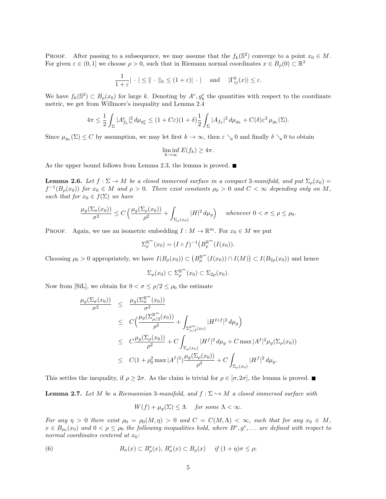PROOF. After passing to a subsequence, we may assume that the  $f_k(\mathbb{S}^2)$  converge to a point  $x_0 \in M$ . For given  $\varepsilon \in (0,1]$  we choose  $\rho > 0$ , such that in Riemann normal coordinates  $x \in B_\rho(0) \subset \mathbb{R}^3$ 

$$
\frac{1}{1+\varepsilon}|\,\cdot\,|\leq \|\,\cdot\,\|_h\leq (1+\varepsilon)|\,\cdot\,|\quad \text{ and }\quad |\Gamma_{ij}^k(x)|\leq \varepsilon.
$$

We have  $f_k(\mathbb{S}^2) \subset B_\rho(x_0)$  for large k. Denoting by  $A^e, g_k^e$  the quantities with respect to the coordinate metric, we get from Willmore's inequality and Lemma 2.4

$$
4\pi \leq \frac{1}{2} \int_{\Sigma} |A_{f_k}^e|_e^2 d\mu_{g_k^e} \leq (1+C\varepsilon)(1+\delta) \frac{1}{2} \int_{\Sigma} |A_{f_k}|^2 d\mu_{g_k} + C(\delta) \varepsilon^2 \mu_{g_k}(\Sigma).
$$

Since  $\mu_{g_k}(\Sigma) \leq C$  by assumption, we may let first  $k \to \infty$ , then  $\varepsilon \searrow 0$  and finally  $\delta \searrow 0$  to obtain

$$
\liminf_{k \to \infty} E(f_k) \ge 4\pi.
$$

As the upper bound follows from Lemma 2.3, the lemma is proved.  $\blacksquare$ 

**Lemma 2.6.** Let  $f : \Sigma \to M$  be a closed immersed surface in a compact 3-manifold, and put  $\Sigma_{\rho}(x_0) =$  $f^{-1}(B_\rho(x_0))$  for  $x_0 \in M$  and  $\rho > 0$ . There exist constants  $\rho_0 > 0$  and  $C < \infty$  depending only on M, such that for  $x_0 \in f(\Sigma)$  we have

$$
\frac{\mu_g(\Sigma_{\sigma}(x_0))}{\sigma^2} \le C\left(\frac{\mu_g(\Sigma_{\rho}(x_0))}{\rho^2} + \int_{\Sigma_{\rho}(x_0)} |H|^2 d\mu_g\right) \quad \text{ whenever } 0 < \sigma \le \rho \le \rho_0.
$$

**PROOF.** Again, we use an isometric embedding  $I: M \to \mathbb{R}^m$ . For  $x_0 \in M$  we put

$$
\Sigma_{\rho}^{\mathbb{R}^m}(x_0) = (I \circ f)^{-1} (B_{\rho}^{\mathbb{R}^m}(I(x_0))).
$$

Choosing  $\rho_0 > 0$  appropriately, we have  $I(B_\rho(x_0)) \subset (B_\rho^{\mathbb{R}^m}(I(x_0)) \cap I(M)) \subset I(B_{2\rho}(x_0))$  and hence

$$
\Sigma_{\rho}(x_0) \subset \Sigma_{\rho}^{\mathbb{R}^m}(x_0) \subset \Sigma_{2\rho}(x_0).
$$

Now from [SiL], we obtain for  $0 < \sigma \leq \rho/2 \leq \rho_0$  the estimate

$$
\frac{\mu_g(\Sigma_{\sigma}(x_0))}{\sigma^2} \leq \frac{\mu_g(\Sigma_{\sigma}^{\mathbb{R}^m}(x_0))}{\sigma^2} \n\leq C \Big( \frac{\mu_g(\Sigma_{\rho/2}^{\mathbb{R}^m}(x_0))}{\rho^2} + \int_{\Sigma_{\rho/2}^{\mathbb{R}^m}(x_0)} |H^{I \circ f}|^2 d\mu_g \Big) \n\leq C \frac{\mu_g(\Sigma_{\rho}(x_0))}{\rho^2} + C \int_{\Sigma_{\rho}(x_0)} |H^f|^2 d\mu_g + C \max |A^I|^2 \mu_g(\Sigma_{\rho}(x_0)) \n\leq C (1 + \rho_0^2 \max |A^I|^2) \frac{\mu_g(\Sigma_{\rho}(x_0))}{\rho^2} + C \int_{\Sigma_{\rho}(x_0)} |H^f|^2 d\mu_g.
$$

This settles the inequality, if  $\rho \geq 2\sigma$ . As the claim is trivial for  $\rho \in [\sigma, 2\sigma]$ , the lemma is proved.

**Lemma 2.7.** Let M be a Riemannian 3-manifold, and  $f : \Sigma \hookrightarrow M$  a closed immersed surface with

$$
W(f) + \mu_g(\Sigma) \leq \Lambda
$$
 for some  $\Lambda < \infty$ .

For any  $\eta > 0$  there exist  $\rho_0 = \rho_0(M, \eta) > 0$  and  $C = C(M, \Lambda) < \infty$ , such that for any  $x_0 \in M$ ,  $x \in B_{\rho_0}(x_0)$  and  $0 < \rho \le \rho_0$  the following inequalities hold, where  $B^e, g^e, \ldots$  are defined with respect to normal coordinates centered at  $x_0$ :

(6) 
$$
B_{\sigma}(x) \subset B_{\rho}^{e}(x), B_{\sigma}^{e}(x) \subset B_{\rho}(x) \quad \text{if } (1 + \eta)\sigma \leq \rho;
$$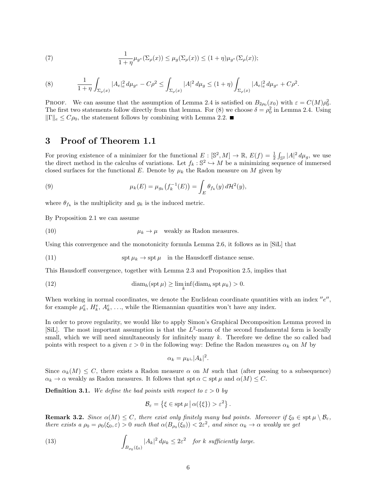(7) 
$$
\frac{1}{1+\eta}\mu_{g^e}(\Sigma_\rho(x)) \leq \mu_g(\Sigma_\rho(x)) \leq (1+\eta)\mu_{g^e}(\Sigma_\rho(x));
$$

(8) 
$$
\frac{1}{1+\eta}\int_{\Sigma_{\rho}(x)}|A_e|^2_e\,d\mu_{g^e}-C\rho^2\leq \int_{\Sigma_{\rho}(x)}|A|^2\,d\mu_g\leq (1+\eta)\int_{\Sigma_{\rho}(x)}|A_e|^2_e\,d\mu_{g^e}+C\rho^2.
$$

PROOF. We can assume that the assumption of Lemma 2.4 is satisfied on  $B_{2\rho_0}(x_0)$  with  $\varepsilon = C(M)\rho_0^2$ . The first two statements follow directly from that lemma. For (8) we choose  $\delta = \rho_0^2$  in Lemma 2.4. Using  $\|\Gamma\|_e \leq C\rho_0$ , the statement follows by combining with Lemma 2.2.

### 3 Proof of Theorem 1.1

For proving existence of a minimizer for the functional  $E : [\mathbb{S}^2, M] \to \mathbb{R}, E(f) = \frac{1}{2} \int_{\mathbb{S}^2} |A|^2 d\mu_g$ , we use the direct method in the calculus of variations. Let  $f_k : \mathbb{S}^2 \to M$  be a minimizing sequence of immersed closed surfaces for the functional E. Denote by  $\mu_k$  the Radon measure on M given by

(9) 
$$
\mu_k(E) = \mu_{g_k}(f_k^{-1}(E)) = \int_E \theta_{f_k}(y) d\mathcal{H}^2(y),
$$

where  $\theta_{f_k}$  is the multiplicity and  $g_k$  is the induced metric.

By Proposition 2.1 we can assume

(10) 
$$
\mu_k \to \mu \quad \text{weakly as Radon measures.}
$$

Using this convergence and the monotonicity formula Lemma 2.6, it follows as in [SiL] that

(11) 
$$
\operatorname{spt} \mu_k \to \operatorname{spt} \mu \quad \text{in the Hausdorff distance sense.}
$$

This Hausdorff convergence, together with Lemma 2.3 and Proposition 2.5, implies that

(12) 
$$
\dim_h(\operatorname{spt} \mu) \ge \liminf_k(\operatorname{diam}_h \operatorname{spt} \mu_k) > 0.
$$

When working in normal coordinates, we denote the Euclidean coordinate quantities with an index  $^{\prime\prime}e^{\prime\prime}$ , for example  $\mu_k^e$ ,  $H_k^e$ ,  $A_k^e$ , ..., while the Riemannian quantities won't have any index.

In order to prove regularity, we would like to apply Simon's Graphical Decomposition Lemma proved in [SiL]. The most important assumption is that the  $L^2$ -norm of the second fundamental form is locally small, which we will need simultaneously for infinitely many  $k$ . Therefore we define the so called bad points with respect to a given  $\varepsilon > 0$  in the following way: Define the Radon measures  $\alpha_k$  on M by

$$
\alpha_k = \mu_k \llcorner |A_k|^2.
$$

Since  $\alpha_k(M) \leq C$ , there exists a Radon measure  $\alpha$  on M such that (after passing to a subsequence)  $\alpha_k \to \alpha$  weakly as Radon measures. It follows that spt  $\alpha \subset \operatorname{spt} \mu$  and  $\alpha(M) \leq C$ .

**Definition 3.1.** We define the bad points with respect to  $\varepsilon > 0$  by

$$
\mathcal{B}_{\varepsilon} = \left\{ \xi \in \operatorname{spt} \mu \, \big| \, \alpha(\{\xi\}) > \varepsilon^2 \right\}.
$$

**Remark 3.2.** Since  $\alpha(M) \leq C$ , there exist only finitely many bad points. Moreover if  $\xi_0 \in \text{spt } \mu \setminus \mathcal{B}_{\varepsilon}$ , there exists a  $\rho_0 = \rho_0(\xi_0, \varepsilon) > 0$  such that  $\alpha(B_{\rho_0}(\xi_0)) < 2\varepsilon^2$ , and since  $\alpha_k \to \alpha$  weakly we get

(13) 
$$
\int_{B_{\rho_0}(\xi_0)} |A_k|^2 d\mu_k \leq 2\varepsilon^2 \quad \text{for } k \text{ sufficiently large.}
$$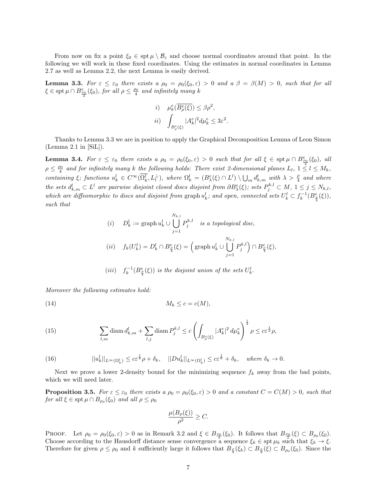From now on fix a point  $\xi_0 \in \text{spt } \mu \setminus \mathcal{B}_{\varepsilon}$  and choose normal coordinates around that point. In the following we will work in these fixed coordinates. Using the estimates in normal coordinates in Lemma 2.7 as well as Lemma 2.2, the next Lemma is easily derived.

**Lemma 3.3.** For  $\varepsilon \leq \varepsilon_0$  there exists a  $\rho_0 = \rho_0(\xi_0, \varepsilon) > 0$  and a  $\beta = \beta(M) > 0$ , such that for all  $\xi \in \operatorname{spt} \mu \cap B^e_{\frac{\rho_0}{2}}(\xi_0)$ , for all  $\rho \leq \frac{\rho_0}{4}$  and infinitely many k

*i*) 
$$
\mu_k^e(\overline{B_\rho^e(\xi)}) \le \beta \rho^2
$$
,  
\n*ii*)  $\int_{B_\rho^e(\xi)} |A_k^e|^2 d\mu_k^e \le 3\varepsilon^2$ .

Thanks to Lemma 3.3 we are in position to apply the Graphical Decomposition Lemma of Leon Simon (Lemma 2.1 in [SiL]).

**Lemma 3.4.** For  $\varepsilon \leq \varepsilon_0$  there exists a  $\rho_0 = \rho_0(\xi_0, \varepsilon) > 0$  such that for all  $\xi \in \operatorname{spt} \mu \cap B_{\frac{\rho_0}{2}}^e(\xi_0)$ , all  $\rho \leq \frac{\rho_0}{4}$  and for infinitely many k the following holds: There exist 2-dimensional planes  $L_l$ ,  $1 \leq l \leq M_k$ , containing  $\xi$ ; functions  $u_k^l \in C^{\infty}(\overline{\Omega_k^l}, L_l^{\perp})$ , where  $\Omega_k^l = (B_{\lambda}^e(\xi) \cap L^l) \setminus \bigcup_m d_{k,m}^l$  with  $\lambda > \frac{\rho}{4}$  and where the sets  $d_{k,m}^l \subset L^l$  are pairwise disjoint closed discs disjoint from  $\partial B_{\lambda}^e(\xi)$ ; sets  $P_j^{k,l} \subset M$ ,  $1 \leq j \leq N_{k,l}$ , which are diffeomorphic to discs and disjoint from graph  $u_k^l$ ; and open, connected sets  $U_k^l \subset f_k^{-1}(B_{\frac{\rho}{4}}^e(\xi))$ , such that

(i) 
$$
D_k^l := \operatorname{graph} u_k^l \cup \bigcup_{j=1}^{N_{k,l}} P_j^{k,l}
$$
 is a topological disc,  
\n(ii)  $f_k(U_k^l) = D_k^l \cap B_{\frac{\rho}{4}}^e(\xi) = \left(\operatorname{graph} u_k^l \cup \bigcup_{j=1}^{N_{k,l}} P_j^{k,l}\right) \cap B_{\frac{\rho}{4}}^e(\xi),$ 

(iii) 
$$
f_k^{-1}(B_{\frac{\rho}{4}}^e(\xi))
$$
 is the disjoint union of the sets  $U_k^l$ .

Moreover the following estimates hold:

$$
(14) \t\t M_k \le c = c(M),
$$

(15) 
$$
\sum_{l,m} \text{diam } d_{k,m}^l + \sum_{l,j} \text{diam } P_j^{k,l} \le c \left( \int_{B_\rho^e(\xi)} |A_k^e|^2 \, d\mu_k^e \right)^{\frac{1}{4}} \rho \le c \varepsilon^{\frac{1}{2}} \rho,
$$

(16) 
$$
||u_k^l||_{L^{\infty}(\Omega_k^l)} \leq c\varepsilon^{\frac{1}{6}}\rho + \delta_k, \quad ||Du_k^l||_{L^{\infty}(\Omega_k^l)} \leq c\varepsilon^{\frac{1}{6}} + \delta_k, \quad where \ \delta_k \to 0.
$$

Next we prove a lower 2-density bound for the minimizing sequence  $f_k$  away from the bad points, which we will need later.

**Proposition 3.5.** For  $\varepsilon \leq \varepsilon_0$  there exists a  $\rho_0 = \rho_0(\xi_0, \varepsilon) > 0$  and a constant  $C = C(M) > 0$ , such that for all  $\xi \in \operatorname{spt} \mu \cap B_{\rho_0}(\xi_0)$  and all  $\rho \leq \rho_0$ 

$$
\frac{\mu(B_{\rho}(\xi))}{\rho^2} \ge C.
$$

PROOF. Let  $\rho_0 = \rho_0(\xi_0, \varepsilon) > 0$  as in Remark 3.2 and  $\xi \in B_{\frac{\rho_0}{2}}(\xi_0)$ . It follows that  $B_{\frac{\rho_0}{2}}(\xi) \subset B_{\rho_0}(\xi_0)$ . Choose according to the Hausdorff distance sense convergence  $\hat{\xi}_k \in \text{spt } \mu_k$  such that  $\xi_k \to \xi$ . Therefore for given  $\rho \leq \rho_0$  and k sufficiently large it follows that  $B_{\frac{\rho}{4}}(\xi_k) \subset B_{\frac{\rho}{2}}(\xi) \subset B_{\rho_0}(\xi_0)$ . Since the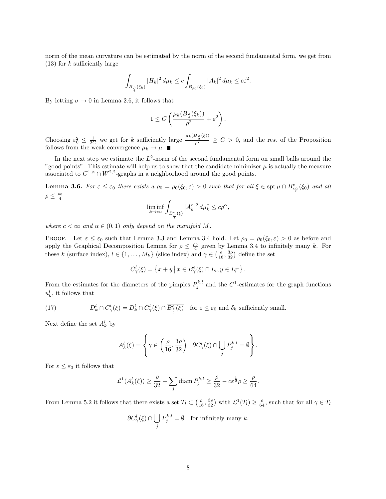norm of the mean curvature can be estimated by the norm of the second fundamental form, we get from  $(13)$  for k sufficiently large

$$
\int_{B_{\frac{\rho}{4}}(\xi_k)} |H_k|^2 \, d\mu_k \le c \int_{B_{\rho_0}(\xi_0)} |A_k|^2 \, d\mu_k \le c\varepsilon^2.
$$

By letting  $\sigma \to 0$  in Lemma 2.6, it follows that

$$
1 \leq C \left( \frac{\mu_k(B_{\frac{\rho}{4}}(\xi_k))}{\rho^2} + \varepsilon^2 \right).
$$

Choosing  $\varepsilon_0^2 \leq \frac{1}{2C}$  we get for k sufficiently large  $\frac{\mu_k(B_{\frac{\rho}{2}}(\xi))}{\rho^2} \geq C > 0$ , and the rest of the Proposition follows from the weak convergence  $\mu_k \to \mu$ .

In the next step we estimate the  $L^2$ -norm of the second fundamental form on small balls around the "good points". This estimate will help us to show that the candidate minimizer  $\mu$  is actually the measure associated to  $C^{1,\alpha} \cap W^{2,2}$ -graphs in a neighborhood around the good points.

**Lemma 3.6.** For  $\varepsilon \leq \varepsilon_0$  there exists a  $\rho_0 = \rho_0(\xi_0, \varepsilon) > 0$  such that for all  $\xi \in \operatorname{spt} \mu \cap B^e_{\frac{\rho_0}{2}}(\xi_0)$  and all  $\rho \leq \frac{\rho_0}{4}$ 

$$
\liminf_{k \to \infty} \int_{B_{\frac{e}{8}}^e(\xi)} |A_k^e|^2 \, d\mu_k^e \le c\rho^{\alpha},
$$

where  $c < \infty$  and  $\alpha \in (0,1)$  only depend on the manifold M.

PROOF. Let  $\varepsilon \leq \varepsilon_0$  such that Lemma 3.3 and Lemma 3.4 hold. Let  $\rho_0 = \rho_0(\xi_0, \varepsilon) > 0$  as before and apply the Graphical Decomposition Lemma for  $\rho \leq \frac{\rho_0}{4}$  given by Lemma 3.4 to infinitely many k. For these k (surface index),  $l \in \{1, ..., M_k\}$  (slice index) and  $\gamma \in (\frac{\rho}{16}, \frac{3\rho}{32})$  define the set

$$
C_{\gamma}^{l}(\xi) = \{ x + y \, \big| \, x \in B_{\gamma}^{e}(\xi) \cap L_{l}, y \in L_{l}^{\perp} \}.
$$

From the estimates for the diameters of the pimples  $P_j^{k,l}$  and the  $C^1$ -estimates for the graph functions  $u_k^l$ , it follows that

(17) 
$$
D_k^l \cap C_{\gamma}^l(\xi) = D_k^l \cap C_{\gamma}^l(\xi) \cap \overline{B_{\frac{\rho}{4}}^e(\xi)} \quad \text{for } \varepsilon \le \varepsilon_0 \text{ and } \delta_k \text{ sufficiently small.}
$$

Next define the set  $A_k^l$  by

$$
A_k^l(\xi) = \left\{ \gamma \in \left( \frac{\rho}{16}, \frac{3\rho}{32} \right) \, \Big| \, \partial C_\gamma^l(\xi) \cap \bigcup_j P_j^{k,l} = \emptyset \right\}.
$$

For  $\varepsilon \leq \varepsilon_0$  it follows that

$$
\mathcal{L}^1(A_k^l(\xi)) \ge \frac{\rho}{32} - \sum_j \text{diam}\, P_j^{k,l} \ge \frac{\rho}{32} - c \varepsilon^{\frac{1}{2}} \rho \ge \frac{\rho}{64}.
$$

From Lemma 5.2 it follows that there exists a set  $T_l \subset \left(\frac{\rho}{16}, \frac{3\rho}{32}\right)$  with  $\mathcal{L}^1(T_l) \geq \frac{\rho}{64}$ , such that for all  $\gamma \in T_l$ 

$$
\partial C^l_\gamma(\xi)\cap \bigcup_j P_j^{k,l}=\emptyset \quad \text{for infinitely many $k$.}
$$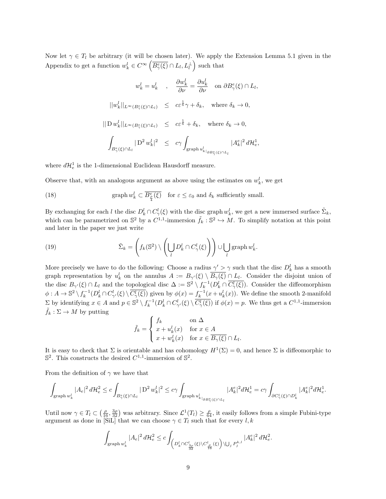Now let  $\gamma \in T_l$  be arbitrary (it will be chosen later). We apply the Extension Lemma 5.1 given in the Appendix to get a function  $w_k^l \in C^{\infty}(\overline{B_{\gamma}^e(\xi)} \cap L_l, L_l^{\perp})$  such that

$$
w_k^l = u_k^l \quad , \quad \frac{\partial w_k^l}{\partial \nu} = \frac{\partial u_k^l}{\partial \nu} \quad \text{on } \partial B_{\gamma}^e(\xi) \cap L_l,
$$
  

$$
||w_k^l||_{L^{\infty}(B_{\gamma}^e(\xi) \cap L_l)} \leq c \varepsilon^{\frac{1}{6}} \gamma + \delta_k, \quad \text{where } \delta_k \to 0,
$$
  

$$
||D w_k^l||_{L^{\infty}(B_{\gamma}^e(\xi) \cap L_l)} \leq c \varepsilon^{\frac{1}{6}} + \delta_k, \quad \text{where } \delta_k \to 0,
$$
  

$$
\int_{B_{\gamma}^e(\xi) \cap L_l} |D^2 w_k^l|^2 \leq c \gamma \int_{\text{graph } u_k^l|_{\partial B_{\gamma}^e(\xi) \cap L_l}} |A_k^e|^2 d\mathcal{H}_e^1,
$$

where  $d\mathcal{H}_e^1$  is the 1-dimensional Euclidean Hausdorff measure.

Observe that, with an analogous argument as above using the estimates on  $w_k^l$ , we get

(18) graph 
$$
w_k^l \subset \overline{B_{\frac{\rho}{4}}^e(\xi)}
$$
 for  $\varepsilon \le \varepsilon_0$  and  $\delta_k$  sufficiently small.

By exchanging for each l the disc  $D_k^l \cap C_\gamma^l(\xi)$  with the disc graph  $w_k^l$ , we get a new immersed surface  $\tilde{\Sigma}_k$ , which can be parametrized on  $\mathbb{S}^2$  by a  $C^{1,1}$ -immersion  $\tilde{f}_k : \mathbb{S}^2 \hookrightarrow M$ . To simplify notation at this point and later in the paper we just write

(19) 
$$
\tilde{\Sigma}_k = \left(f_k(\mathbb{S}^2) \setminus \left(\bigcup_l D_k^l \cap C_{\gamma}^l(\xi)\right)\right) \cup \bigcup_l \mathrm{graph}\, w_k^l.
$$

More precisely we have to do the following: Choose a radius  $\gamma' > \gamma$  such that the disc  $D_k^l$  has a smooth graph representation by  $u_k^l$  on the annulus  $A := B_{\gamma'}(\xi) \setminus \overline{B_{\gamma}(\xi)} \cap L_l$ . Consider the disjoint union of the disc  $B_{\gamma'}(\xi) \cap L_l$  and the topological disc  $\Delta := \mathbb{S}^2 \setminus f_k^{-1}(D_k^l \cap \overline{C_{\gamma}^l(\xi)})$ . Consider the diffeomorphism  $\phi: A \to \mathbb{S}^2 \setminus f_k^{-1}(D_k^l \cap C_{\gamma'}^l(\xi) \setminus \overline{C_{\gamma'}^l(\xi)})$  given by  $\phi(x) = f_k^{-1}(x + u_k^l(x))$ . We define the smooth 2-manifold  $\Sigma$  by identifying  $x \in A$  and  $p \in \mathbb{S}^2 \setminus f_k^{-1}(D_k^l \cap C_{\gamma'}^l(\xi) \setminus \overline{C_{\gamma'}^l(\xi)})$  if  $\phi(x) = p$ . We thus get a  $C^{1,1}$ -immersion  $f_k : \Sigma \to M$  by putting

$$
\tilde{f}_k = \begin{cases} f_k & \text{on } \Delta \\ x + u_k^l(x) & \text{for } x \in A \\ x + w_k^l(x) & \text{for } x \in \overline{B_\gamma(\xi)} \cap L_l. \end{cases}
$$

It is easy to check that  $\Sigma$  is orientable and has cohomology  $H^1(\Sigma) = 0$ , and hence  $\Sigma$  is diffeomorphic to  $\mathbb{S}^2$ . This constructs the desired  $C^{1,1}$ -immersion of  $\mathbb{S}^2$ .

From the definition of  $\gamma$  we have that

$$
\int_{\mathrm{graph}\, w_k^l} |A_e|^2\,d\mathcal{H}_e^2 \leq c\int_{B_\gamma^e(\xi)\cap L_l} |\operatorname{D}^2 w_k^l|^2 \leq c\gamma\int_{\mathrm{graph}\, u_{k}^l|_{\partial B_\gamma^e(\xi)\cap L_l}} |A_k^e|^2 d\mathcal{H}_e^1 = c\gamma\int_{\partial C_\gamma^l(\xi)\cap D_k^l} |A_k^e|^2 d\mathcal{H}_e^1.
$$

Until now  $\gamma \in T_l \subset \left(\frac{\rho}{16}, \frac{3\rho}{32}\right)$  was arbitrary. Since  $\mathcal{L}^1(T_l) \geq \frac{\rho}{64}$ , it easily follows from a simple Fubini-type argument as done in [SiL] that we can choose  $\gamma \in T_l$  such that for every  $l, k$ 

$$
\int_{\text{graph } w_k^l} |A_e|^2 d\mathcal{H}_e^2 \le c \int_{\left(D_k^l \cap C_{\frac{3\rho}{32}}^l(\xi) \backslash C_{\frac{\rho}{16}}^l(\xi)\right) \backslash \bigcup_j P_j^{k,l}} |A_k^e|^2 d\mathcal{H}_e^2.
$$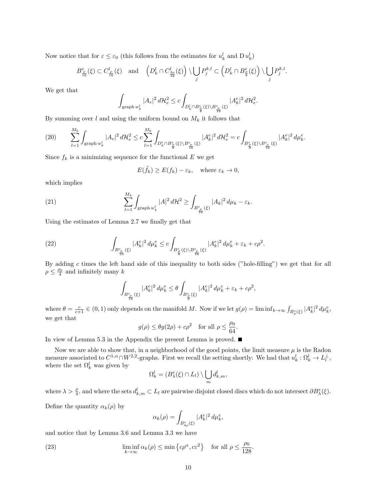Now notice that for  $\varepsilon \leq \varepsilon_0$  (this follows from the estimates for  $u_k^l$  and  $D u_k^l$ )

$$
B^{e}_{\frac{\rho}{16}}(\xi)\subset C^{l}_{\frac{\rho}{16}}(\xi)\quad \text{and}\quad \left(D^{l}_{k}\cap C^{l}_{\frac{3\rho}{32}}(\xi)\right)\backslash\bigcup_{j}P^{k,l}_{j}\subset \left(D^{l}_{k}\cap B^{e}_{\frac{\rho}{8}}(\xi)\right)\backslash\bigcup_{j}P^{k,l}_{j}.
$$

We get that

$$
\int_{\text{graph } w_k^l} |A_e|^2 \, d\mathcal{H}_e^2 \le c \int_{D_k^l \cap B_{\frac{\varrho}{8}}^e(\xi) \backslash B_{\frac{r}{16}}^e(\xi)} |A_k^e|^2 \, d\mathcal{H}_e^2.
$$

By summing over  $l$  and using the uniform bound on  $M_k$  it follows that

$$
(20) \qquad \sum_{l=1}^{M_k} \int_{\text{graph } w_k^l} |A_e|^2 \, d\mathcal{H}_e^2 \leq c \sum_{l=1}^{M_k} \int_{D_k^l \cap B_{\frac{\varrho}{8}}^e(\xi) \backslash B_{\frac{\varrho}{16}}^e(\xi)} |A_k^e|^2 \, d\mathcal{H}_e^2 = c \int_{B_{\frac{\varrho}{8}}^e(\xi) \backslash B_{\frac{\varrho}{16}}^e(\xi)} |A_k^e|^2 \, d\mu_k^e.
$$

Since  $f_k$  is a minimizing sequence for the functional E we get

$$
E(\tilde{f}_k) \ge E(f_k) - \varepsilon_k, \quad \text{where } \varepsilon_k \to 0,
$$

which implies

(21) 
$$
\sum_{l=1}^{M_k} \int_{\text{graph } w_k^l} |A|^2 d\mathcal{H}^2 \ge \int_{B_{\frac{e}{16}}^e(\xi)} |A_k|^2 d\mu_k - \varepsilon_k.
$$

Using the estimates of Lemma 2.7 we finally get that

(22) 
$$
\int_{B_{\frac{\rho}{16}}^e(\xi)} |A_k^e|^2 d\mu_k^e \leq c \int_{B_{\frac{\rho}{8}}^e(\xi) \setminus B_{\frac{\rho}{16}}^e(\xi)} |A_k^e|^2 d\mu_k^e + \varepsilon_k + c\rho^2.
$$

By adding  $c$  times the left hand side of this inequality to both sides ("hole-filling") we get that for all  $\rho \leq \frac{\rho_0}{4}$  and infinitely many k

$$
\int_{B_{\frac{\rho}{16}}^e(\xi)}|A_k^e|^2\,d\mu_k^e\leq\theta\int_{B_{\frac{\rho}{8}}^e(\xi)}|A_k^e|^2\,d\mu_k^e+\varepsilon_k+c\rho^2,
$$

where  $\theta = \frac{c}{c+1} \in (0,1)$  only depends on the manifold M. Now if we let  $g(\rho) = \liminf_{k \to \infty} \int_{B_{\rho}^e(\xi)} |A_k^e|^2 d\mu_k^e$ , we get that

$$
g(\rho) \le \theta g(2\rho) + c\rho^2
$$
 for all  $\rho \le \frac{\rho_0}{64}$ .

In view of Lemma 5.3 in the Appendix the present Lemma is proved.

Now we are able to show that, in a neighborhood of the good points, the limit measure  $\mu$  is the Radon measure associated to  $C^{1,\alpha} \cap W^{2,2}$ -graphs. First we recall the setting shortly: We had that  $u_k^l: \Omega_k^l \to L_l^{\perp}$ , where the set  $\Omega_k^l$  was given by

$$
\Omega_k^l = (B_\lambda^e(\xi) \cap L_l) \setminus \bigcup_m d_{k,m}^l,
$$

where  $\lambda > \frac{\rho}{4}$ , and where the sets  $d_{k,m}^l \subset L_l$  are pairwise disjoint closed discs which do not intersect  $\partial B_{\lambda}^e(\xi)$ .

Define the quantity  $\alpha_k(\rho)$  by

$$
\alpha_k(\rho) = \int_{B_{4\rho}^e(\xi)} |A_k^e|^2 \, d\mu_k^e,
$$

and notice that by Lemma 3.6 and Lemma 3.3 we have

(23) 
$$
\liminf_{k \to \infty} \alpha_k(\rho) \le \min \left\{ c\rho^{\alpha}, c\varepsilon^2 \right\} \text{ for all } \rho \le \frac{\rho_0}{128}.
$$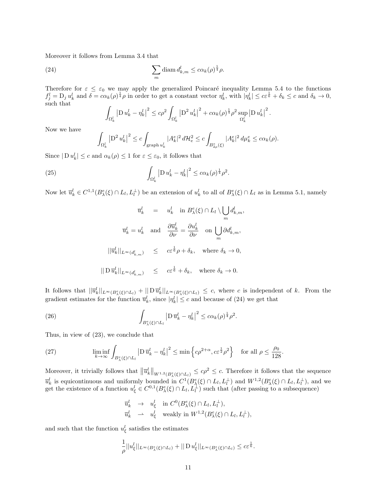Moreover it follows from Lemma 3.4 that

(24) 
$$
\sum_{m} \text{diam } d_{k,m}^{l} \leq c \alpha_{k}(\rho)^{\frac{1}{4}} \rho.
$$

Therefore for  $\varepsilon \leq \varepsilon_0$  we may apply the generalized Poincaré inequality Lemma 5.4 to the functions  $f_j^l = D_j u_k^l$  and  $\delta = c \alpha_k(\rho)^\frac{1}{4} \rho$  in order to get a constant vector  $\eta_k^l$ , with  $|\eta_k^l| \leq c \varepsilon^\frac{1}{6} + \delta_k \leq c$  and  $\delta_k \to 0$ , such that

$$
\int_{\Omega_k^l} \left| D u_k^l - \eta_k^l \right|^2 \leq c\rho^2 \int_{\Omega_k^l} \left| D^2 u_k^l \right|^2 + c\alpha_k(\rho)^{\frac{1}{4}} \rho^2 \sup_{\Omega_k^l} \left| D u_k^l \right|^2.
$$

Now we have

$$
\int_{\Omega_k^l} \left| \mathcal{D}^2 u_k^l \right|^2 \le c \int_{\text{graph } u_k^l} |A_k^e|^2 d\mathcal{H}_e^2 \le c \int_{B_{2\rho}^e(\xi)} |A_k^e|^2 d\mu_k^e \le c \alpha_k(\rho).
$$

Since  $|\mathcal{D} u_k^l| \le c$  and  $\alpha_k(\rho) \le 1$  for  $\varepsilon \le \varepsilon_0$ , it follows that

(25) 
$$
\int_{\Omega_k^l} |D u_k^l - \eta_k^l|^2 \leq c \alpha_k(\rho)^{\frac{1}{4}} \rho^2.
$$

Now let  $\overline{u}_k^l \in C^{1,1}(B_\lambda^e(\xi) \cap L_l, L_l^{\perp})$  be an extension of  $u_k^l$  to all of  $B_\lambda^e(\xi) \cap L_l$  as in Lemma 5.1, namely

$$
\overline{u}_k^l = u_k^l \text{ in } B_{\lambda}^e(\xi) \cap L_l \setminus \bigcup_m d_{k,m}^l,
$$
  

$$
\overline{u}_k^l = u_k^l \text{ and } \frac{\partial \overline{u}_k^l}{\partial \nu} = \frac{\partial u_k^l}{\partial \nu} \text{ on } \bigcup_m \partial d_{k,m}^l,
$$
  

$$
||\overline{u}_k^l||_{L^{\infty}(d_{k,m}^l)} \leq c \varepsilon^{\frac{1}{6}} \rho + \delta_k, \text{ where } \delta_k \to 0,
$$
  

$$
||D \overline{u}_k^l||_{L^{\infty}(d_{k,m}^l)} \leq c \varepsilon^{\frac{1}{6}} + \delta_k, \text{ where } \delta_k \to 0.
$$

It follows that  $||\bar{u}_k^l||_{L^{\infty}(B_{\lambda}^e(\xi)\cap L_l)} + ||D \bar{u}_k^l||_{L^{\infty}(B_{\lambda}^e(\xi)\cap L_l)} \leq c$ , where c is independent of k. From the gradient estimates for the function  $\overline{u}_k^l$ , since  $|\eta_k^l| \leq c$  and because of (24) we get that

(26) 
$$
\int_{B_{\lambda}^e(\xi)\cap L_l} \left| \mathrm{D}\,\overline{u}_k^l - \eta_k^l \right|^2 \leq c\alpha_k(\rho)^{\frac{1}{4}}\rho^2.
$$

Thus, in view of (23), we conclude that

(27) 
$$
\liminf_{k \to \infty} \int_{B_{\lambda}^e(\xi) \cap L_l} \left| \mathrm{D} \,\overline{u}_k^l - \eta_k^l \right|^2 \leq \min \left\{ c\rho^{2+\alpha}, c \varepsilon^{\frac{1}{2}} \rho^2 \right\} \quad \text{for all } \rho \leq \frac{\rho_0}{128}.
$$

Moreover, it trivially follows that  $||\overline{u}_k^l||_{W^{1,2}(B_{\lambda}^e(\xi)\cap L_l)} \leq c\rho^2 \leq c$ . Therefore it follows that the sequence  $\overline{u}_k^l$  is equicontinuous and uniformly bounded in  $C^1(B_\lambda^e(\xi) \cap L_l, L_l^{\perp})$  and  $W^{1,2}(B_\lambda^e(\xi) \cap L_l, L_l^{\perp})$ , and we get the existence of a function  $u_{\xi}^{l} \in C^{0,1}(B_{\lambda}^{\epsilon}(\xi) \cap L_{l}, L_{l}^{\perp})$  such that (after passing to a subsequence)

$$
\overline{u}_k^l \rightarrow u_\xi^l \quad \text{in } C^0(B_\lambda^e(\xi) \cap L_l, L_l^{\perp}),
$$
  
\n
$$
\overline{u}_k^l \rightarrow u_\xi^l \quad \text{weakly in } W^{1,2}(B_\lambda^e(\xi) \cap L_l, L_l^{\perp}),
$$

and such that the function  $u_{\xi}^{l}$  satisfies the estimates

$$
\frac{1}{\rho}||u_{\xi}^{l}||_{L^{\infty}(B_{\lambda}^{\epsilon}(\xi)\cap L_{l})}+||\operatorname{D} u_{\xi}^{l}||_{L^{\infty}(B_{\lambda}^{\epsilon}(\xi)\cap L_{l})}\leq c\varepsilon^{\frac{1}{6}}.
$$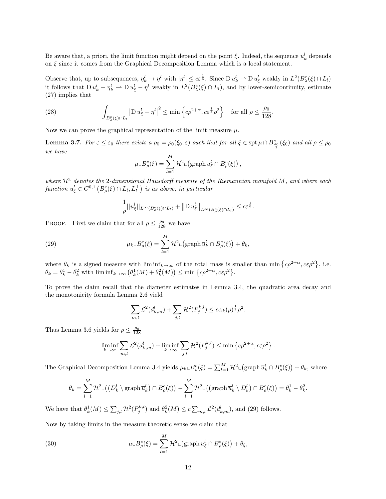Be aware that, a priori, the limit function might depend on the point  $\xi$ . Indeed, the sequence  $u_k^l$  depends on  $\xi$  since it comes from the Graphical Decomposition Lemma which is a local statement.

Observe that, up to subsequences,  $\eta_k^l \to \eta^l$  with  $|\eta^l| \leq c \varepsilon^{\frac{1}{6}}$ . Since  $D \overline{u}_k^l \to D u_{\xi}^l$  weakly in  $L^2(B_{\lambda}^e(\xi) \cap L_l)$ it follows that  $D \bar{u}_k^l - \eta_k^l \rightharpoonup D u_{\xi}^l - \eta^l$  weakly in  $L^2(B_{\lambda}^e(\xi) \cap L_l)$ , and by lower-semicontinuity, estimate (27) implies that

(28) 
$$
\int_{B_{\lambda}^e(\xi)\cap L_l} \left| \mathrm{D} \, u_{\xi}^l - \eta^l \right|^2 \leq \min \left\{ c\rho^{2+\alpha}, c \varepsilon^{\frac{1}{2}} \rho^2 \right\} \quad \text{for all } \rho \leq \frac{\rho_0}{128}.
$$

Now we can prove the graphical representation of the limit measure  $\mu$ .

**Lemma 3.7.** For  $\varepsilon \leq \varepsilon_0$  there exists a  $\rho_0 = \rho_0(\xi_0, \varepsilon)$  such that for all  $\xi \in \text{spt } \mu \cap B^e_{\frac{\rho_0}{2}}(\xi_0)$  and all  $\rho \leq \rho_0$ we have

$$
\mu \llcorner B^e_\rho(\xi) = \sum_{l=1}^M \mathcal{H}^2 \llcorner (\text{graph } u^l_{\xi} \cap B^e_\rho(\xi)),
$$

where  $\mathcal{H}^2$  denotes the 2-dimensional Hausdorff measure of the Riemannian manifold M, and where each function  $u_{\xi}^{l} \in C^{0,1} \left( B^e_{\rho}(\xi) \cap L_l, L_l^{\perp} \right)$  is as above, in particular

$$
\frac{1}{\rho}||u_{\xi}^l||_{L^{\infty}(B_{\rho}^{\epsilon}(\xi)\cap L_l)} + ||D u_{\xi}^l||_{L^{\infty}(B_{\rho}^{\epsilon}(\xi)\cap L_l)} \leq c \varepsilon^{\frac{1}{6}}.
$$

PROOF. First we claim that for all  $\rho \leq \frac{\rho_0}{128}$  we have

(29) 
$$
\mu_k \llcorner B^e_\rho(\xi) = \sum_{l=1}^M \mathcal{H}^2 \llcorner (\text{graph } \overline{u}_k^l \cap B^e_\rho(\xi)) + \theta_k,
$$

where  $\theta_k$  is a signed measure with  $\liminf_{k\to\infty}$  of the total mass is smaller than  $\min\{c\rho^{2+\alpha}, c\epsilon\rho^2\}$ , i.e.  $\theta_k = \theta_k^1 - \theta_k^2$  with  $\liminf_{k \to \infty} (\theta_k^1(M) + \theta_k^2(M)) \le \min \{c\rho^{2+\alpha}, c \varepsilon \rho^2\}.$ 

To prove the claim recall that the diameter estimates in Lemma 3.4, the quadratic area decay and the monotonicity formula Lemma 2.6 yield

$$
\sum_{m,l} \mathcal{L}^2(d_{k,m}^l) + \sum_{j,l} \mathcal{H}^2(P_j^{k,l}) \le c \alpha_k(\rho)^{\frac{1}{2}} \rho^2.
$$

Thus Lemma 3.6 yields for  $\rho \leq \frac{\rho_0}{128}$ 

$$
\liminf_{k \to \infty} \sum_{m,l} \mathcal{L}^2(d_{k,m}^l) + \liminf_{k \to \infty} \sum_{j,l} \mathcal{H}^2(P_j^{k,l}) \le \min \left\{ c\rho^{2+\alpha}, c\varepsilon\rho^2 \right\}.
$$

The Graphical Decomposition Lemma 3.4 yields  $\mu_k \llcorner B^e_\rho(\xi) = \sum_{l=1}^M \mathcal{H}^2 \llcorner (\text{graph } \overline{u}_k^l \cap B^e_\rho(\xi)) + \theta_k$ , where

$$
\theta_k = \sum_{l=1}^M \mathcal{H}^2 \mathcal{L} \big( \big( D_k^l \setminus \mathrm{graph} \, \overline{u}_k^l \big) \cap B_\rho^e(\xi) \big) - \sum_{l=1}^M \mathcal{H}^2 \mathcal{L} \big( \big( \mathrm{graph} \, \overline{u}_k^l \setminus D_k^l \big) \cap B_\rho^e(\xi) \big) = \theta_k^1 - \theta_k^2.
$$

We have that  $\theta_k^1(M) \leq \sum_{j,l} \mathcal{H}^2(P_j^{k,l})$  and  $\theta_k^2(M) \leq c \sum_{m,l} \mathcal{L}^2(d_{k,m}^l)$ , and (29) follows.

Now by taking limits in the measure theoretic sense we claim that

(30) 
$$
\mu \llcorner B^e_{\rho}(\xi) = \sum_{l=1}^M \mathcal{H}^2 \llcorner (\text{graph } u^l_{\xi} \cap B^e_{\rho}(\xi)) + \theta_{\xi},
$$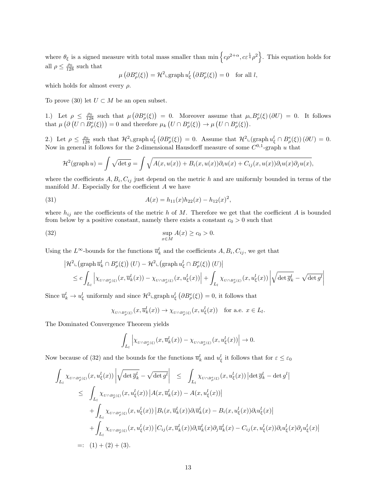where  $\theta_{\xi}$  is a signed measure with total mass smaller than  $\min \{c\rho^{2+\alpha}, c\varepsilon^{\frac{1}{4}}\rho^2\}$ . This equation holds for all  $\rho \leq \frac{\rho_0}{128}$  such that

$$
\mu\left(\partial B^e_{\rho}(\xi)\right) = \mathcal{H}^2 \log \mathrm{suph} \, u_{\xi}^l\left(\partial B^e_{\rho}(\xi)\right) = 0 \quad \text{for all } l,
$$

which holds for almost every  $\rho$ .

To prove (30) let  $U \subset M$  be an open subset.

1.) Let  $\rho \leq \frac{\rho_0}{128}$  such that  $\mu(\partial B^e_{\rho}(\xi)) = 0$ . Moreover assume that  $\mu \_B^e(\xi)(\partial U) = 0$ . It follows that  $\mu\left(\partial\left(U \cap B^e_{\rho}(\xi)\right)\right) = 0$  and therefore  $\mu_k\left(U \cap B^e_{\rho}(\xi)\right) \to \mu\left(U \cap B^e_{\rho}(\xi)\right)$ .

2.) Let  $\rho \leq \frac{\rho_0}{128}$  such that  $\mathcal{H}^2 \text{-graph } u^l_{\xi} (\partial B^e_{\rho}(\xi)) = 0$ . Assume that  $\mathcal{H}^2 \text{-}(graph } u^l_{\xi} \cap B^e_{\rho}(\xi)) (\partial U) = 0$ . Now in general it follows for the 2-dimensional Hausdorff measure of some  $C^{0,1}$ -graph u that

$$
\mathcal{H}^2(\text{graph }u) = \int \sqrt{\det g} = \int \sqrt{A(x, u(x)) + B_i(x, u(x))\partial_i u(x) + C_{ij}(x, u(x))\partial_i u(x)\partial_j u(x)},
$$

where the coefficients  $A, B_i, C_{ij}$  just depend on the metric h and are uniformly bounded in terms of the manifold  $M$ . Especially for the coefficient  $A$  we have

(31) 
$$
A(x) = h_{11}(x)h_{22}(x) - h_{12}(x)^2,
$$

where  $h_{ij}$  are the coefficients of the metric h of M. Therefore we get that the coefficient A is bounded from below by a positive constant, namely there exists a constant  $c_0 > 0$  such that

(32) 
$$
\sup_{x \in M} A(x) \ge c_0 > 0.
$$

Using the  $L^{\infty}$ -bounds for the functions  $\overline{u}_k^l$  and the coefficients  $A, B_i, C_{ij}$ , we get that

$$
\left| \mathcal{H}^2_{\perp}(\text{graph } \overline{u}_k^l \cap B^e_{\rho}(\xi)) (U) - \mathcal{H}^2_{\perp}(\text{graph } u_\xi^l \cap B^e_{\rho}(\xi)) (U) \right|
$$
  

$$
\leq c \int_{L_l} \left| \chi_{U \cap B^e_{\rho}(\xi)}(x, \overline{u}_k^l(x)) - \chi_{U \cap B^e_{\rho}(\xi)}(x, u_\xi^l(x)) \right| + \int_{L_l} \chi_{U \cap B^e_{\rho}(\xi)}(x, u_\xi^l(x)) \left| \sqrt{\det \overline{g}_k^l} - \sqrt{\det g^l} \right|
$$

Since  $\overline{u}_k^l \to u_\xi^l$  uniformly and since  $\mathcal{H}^2$ <sub>L</sub>graph  $u_\xi^l$   $(\partial B_\rho^e(\xi)) = 0$ , it follows that

$$
\chi_{U \cap B^e_\rho(\xi)}(x, \overline{u}^l_k(x)) \to \chi_{U \cap B^e_\rho(\xi)}(x, u^l_\xi(x)) \quad \text{for a.e. } x \in L_l.
$$

The Dominated Convergence Theorem yields

$$
\int_{L_l} \left| \chi_{U \cap B^e_\rho(\xi)}(x, \overline{u}^l_k(x)) - \chi_{U \cap B^e_\rho(\xi)}(x, u^l_\xi(x)) \right| \to 0.
$$

Now because of (32) and the bounds for the functions  $\overline{u}_k^l$  and  $u_\xi^l$  it follows that for  $\varepsilon \leq \varepsilon_0$ 

$$
\int_{L_l} \chi_{U \cap B^e_{\rho}(\xi)}(x, u^l_{\xi}(x)) \left| \sqrt{\det \overline{g}^l_k} - \sqrt{\det g^l} \right| \leq \int_{L_l} \chi_{U \cap B^e_{\rho}(\xi)}(x, u^l_{\xi}(x)) \left| \det \overline{g}^l_k - \det g^l \right|
$$
\n
$$
\leq \int_{L_l} \chi_{U \cap B^e_{\rho}(\xi)}(x, u^l_{\xi}(x)) \left| A(x, \overline{u}^l_k(x)) - A(x, u^l_{\xi}(x)) \right|
$$
\n
$$
+ \int_{L_l} \chi_{U \cap B^e_{\rho}(\xi)}(x, u^l_{\xi}(x)) \left| B_i(x, \overline{u}^l_k(x)) \partial_i \overline{u}^l_k(x) - B_i(x, u^l_{\xi}(x)) \partial_i u^l_{\xi}(x) \right|
$$
\n
$$
+ \int_{L_l} \chi_{U \cap B^e_{\rho}(\xi)}(x, u^l_{\xi}(x)) \left| C_{ij}(x, \overline{u}^l_k(x)) \partial_i \overline{u}^l_k(x) \partial_j \overline{u}^l_k(x) - C_{ij}(x, u^l_{\xi}(x)) \partial_i u^l_{\xi}(x) \partial_j u^l_{\xi}(x) \right|
$$
\n
$$
=: (1) + (2) + (3).
$$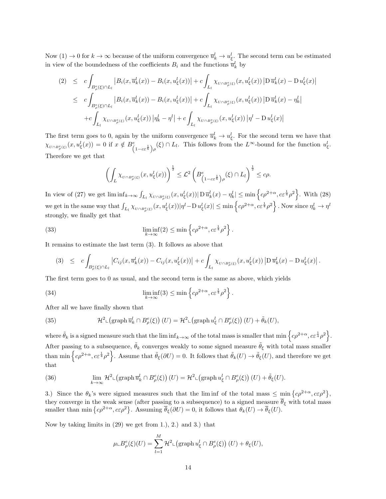Now  $(1) \to 0$  for  $k \to \infty$  because of the uniform convergence  $\overline{u}_k^l \to u_{\xi}^l$ . The second term can be estimated in view of the boundedness of the coefficients  $B_i$  and the functions  $\overline{u}_k^l$  by

$$
(2) \leq c \int_{B_{\rho}^{e}(\xi)\cap L_{l}} \left| B_{i}(x, \overline{u}_{k}^{l}(x)) - B_{i}(x, u_{\xi}^{l}(x)) \right| + c \int_{L_{l}} \chi_{U\cap B_{\rho}^{e}(\xi)}(x, u_{\xi}^{l}(x)) \left| \mathcal{D} \overline{u}_{k}^{l}(x) - \mathcal{D} u_{\xi}^{l}(x) \right|
$$
  

$$
\leq c \int_{B_{\rho}^{e}(\xi)\cap L_{l}} \left| B_{i}(x, \overline{u}_{k}^{l}(x)) - B_{i}(x, u_{\xi}^{l}(x)) \right| + c \int_{L_{l}} \chi_{U\cap B_{\rho}^{e}(\xi)}(x, u_{\xi}^{l}(x)) \left| \mathcal{D} \overline{u}_{k}^{l}(x) - \eta_{k}^{l} \right|
$$
  

$$
+ c \int_{L_{l}} \chi_{U\cap B_{\rho}^{e}(\xi)}(x, u_{\xi}^{l}(x)) \left| \eta_{k}^{l} - \eta^{l} \right| + c \int_{L_{l}} \chi_{U\cap B_{\rho}^{e}(\xi)}(x, u_{\xi}^{l}(x)) \left| \eta^{l} - \mathcal{D} u_{\xi}^{l}(x) \right|
$$

The first term goes to 0, again by the uniform convergence  $\overline{u}_k^l \to u_{\xi}^l$ . For the second term we have that  $\chi_{U \cap B^e_\rho(\xi)}(x, u^l_{\xi}(x)) = 0$  if  $x \notin B^e_{\left(1 - c \varepsilon^{\frac{1}{6}}\right) \rho}(\xi) \cap L_l$ . This follows from the  $L^\infty$ -bound for the function  $u^l_{\xi}$ . Therefore we get that

$$
\left(\int_L \chi_{U \cap B_\rho^e(\xi)}(x, u_\xi^l(x))\right)^{\frac{1}{2}} \leq \mathcal{L}^2 \left(B_{\left(1-c\varepsilon^{\frac{1}{6}}\right)\rho}^e(\xi) \cap L_l\right)^{\frac{1}{2}} \leq c\rho.
$$

In view of (27) we get  $\liminf_{k\to\infty} \int_{L_l} \chi_{U \cap B^c_{\rho}(\xi)}(x, u^l_{\xi}(x)) |D \overline{u}^l_k(x) - \eta^l_k| \le \min \left\{ c\rho^{2+\alpha}, c \varepsilon^{\frac{1}{4}} \rho^2 \right\}$ . With (28) we get in the same way that  $\int_{L_l} \chi_{U \cap B_\rho^c(\xi)}(x, u_\xi^l(x)) |\eta^l - \mathrm{D} u_\xi^l(x)| \le \min \left\{ c \rho^{2+\alpha}, c \varepsilon^{\frac{1}{4}} \rho^2 \right\}$ . Now since  $\eta_k^l \to \eta^l$ strongly, we finally get that

(33) 
$$
\liminf_{k \to \infty} (2) \le \min \left\{ c\rho^{2+\alpha}, c\varepsilon^{\frac{1}{4}}\rho^2 \right\}.
$$

It remains to estimate the last term (3). It follows as above that

$$
(3) \leq c \int_{B_{\rho}^e(\xi)\cap L_l} \left|C_{ij}(x,\overline{u}_k^l(x))-C_{ij}(x,u_{\xi}^l(x))\right|+c \int_{L_l} \chi_{_{U\cap B_{\rho}^e(\xi)}}(x,u_{\xi}^l(x))\left|D\,\overline{u}_k^l(x)-D\,u_{\xi}^l(x)\right|.
$$

The first term goes to 0 as usual, and the second term is the same as above, which yields

(34) 
$$
\liminf_{k \to \infty} (3) \le \min \left\{ c\rho^{2+\alpha}, c\varepsilon^{\frac{1}{4}}\rho^2 \right\}.
$$

After all we have finally shown that

(35) 
$$
\mathcal{H}^{2} \llcorner \left( \mathrm{graph} \,\overline{u}_{k}^{l} \cap B_{\rho}^{e}(\xi) \right) (U) = \mathcal{H}^{2} \llcorner \left( \mathrm{graph} \, u_{\xi}^{l} \cap B_{\rho}^{e}(\xi) \right) (U) + \tilde{\theta}_{k}(U),
$$

where  $\tilde{\theta}_k$  is a signed measure such that the lim inf $\kappa \rightarrow \infty$  of the total mass is smaller that min  $\left\{c\rho^{2+\alpha}, c \varepsilon^{\frac{1}{4}}\rho^2\right\}$ . After passing to a subsequence,  $\tilde{\theta}_k$  converges weakly to some signed measure  $\tilde{\theta}_{\xi}$  with total mass smaller than min  $\left\{c\rho^{2+\alpha}, c\varepsilon^{\frac{1}{4}}\rho^2\right\}$ . Assume that  $\tilde{\theta}_{\xi}(\partial U) = 0$ . It follows that  $\tilde{\theta}_{k}(U) \to \tilde{\theta}_{\xi}(U)$ , and therefore we get that

(36) 
$$
\lim_{k \to \infty} \mathcal{H}^2 \mathcal{L} \left( \operatorname{graph} \overline{u}_k^l \cap B_\rho^e(\xi) \right) (U) = \mathcal{H}^2 \mathcal{L} \left( \operatorname{graph} u_\xi^l \cap B_\rho^e(\xi) \right) (U) + \tilde{\theta}_{\xi}(U).
$$

3.) Since the  $\theta_k$ 's were signed measures such that the liminf of the total mass  $\leq \min\{c\rho^{2+\alpha}, c\varepsilon\rho^2\},$ they converge in the weak sense (after passing to a subsequence) to a signed measure  $\theta_{\xi}$  with total mass smaller than min  $\{c\rho^{2+\alpha}, c\varepsilon\rho^2\}$ . Assuming  $\overline{\theta}_{\xi}(\partial U) = 0$ , it follows that  $\theta_k(U) \to \overline{\theta}_{\xi}(U)$ .

Now by taking limits in (29) we get from 1.), 2.) and 3.) that

$$
\mu \llcorner B^e_{\rho}(\xi)(U) = \sum_{l=1}^M \mathcal{H}^2 \llcorner (\text{graph } u^l_{\xi} \cap B^e_{\rho}(\xi)) (U) + \theta_{\xi}(U),
$$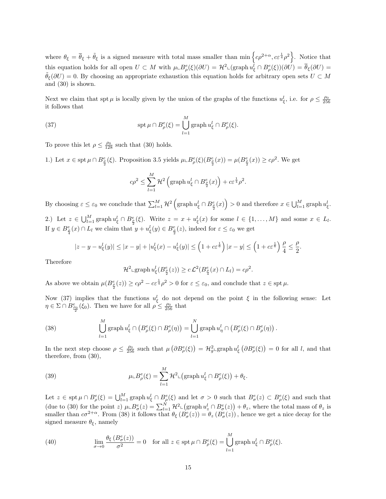where  $\theta_{\xi} = \overline{\theta}_{\xi} + \tilde{\theta}_{\xi}$  is a signed measure with total mass smaller than  $\min \left\{ c\rho^{2+\alpha}, c\varepsilon^{\frac{1}{4}}\rho^2 \right\}$ . Notice that this equation holds for all open  $U \subset M$  with  $\mu \subset B^e_\rho(\xi)(\partial U) = \mathcal{H}^2 \subset (\text{graph } u^l_{\xi} \cap B^e_\rho(\xi))(\partial U) = \overline{\theta}_{\xi}(\partial U)$  $\theta_{\xi}(\partial U) = 0$ . By choosing an appropriate exhaustion this equation holds for arbitrary open sets  $U \subset M$ and (30) is shown.

Next we claim that spt  $\mu$  is locally given by the union of the graphs of the functions  $u_{\xi}^{l}$ , i.e. for  $\rho \leq \frac{\rho_0}{256}$ it follows that

(37) 
$$
\operatorname{spt} \mu \cap B^e_{\rho}(\xi) = \bigcup_{l=1}^M \operatorname{graph} u^l_{\xi} \cap B^e_{\rho}(\xi).
$$

To prove this let  $\rho \leq \frac{\rho_0}{128}$  such that (30) holds.

1.) Let  $x \in \operatorname{spt} \mu \cap B^e_{\frac{\rho}{2}}(\xi)$ . Proposition 3.5 yields  $\mu \subset B^e_{\rho}(\xi)(B^e_{\frac{\rho}{2}}(x)) = \mu(B^e_{\frac{\rho}{2}}(x)) \geq c\rho^2$ . We get

$$
c\rho^2\leq \sum_{l=1}^M\mathcal{H}^2\left(\mathrm{graph}\, u^l_\xi\cap B^e_{\frac{\rho}{2}}(x)\right)+c\varepsilon^{\frac{1}{4}}\rho^2.
$$

By choosing  $\varepsilon \leq \varepsilon_0$  we conclude that  $\sum_{l=1}^M \mathcal{H}^2\left(\text{graph } u_{\xi}^l \cap B_{\frac{\rho}{2}}^e(x)\right) > 0$  and therefore  $x \in \bigcup_{l=1}^M \text{graph } u_{\xi}^l$ .

2.) Let  $z \in \bigcup_{l=1}^{M} \text{graph } u_{\xi}^{l} \cap B_{\frac{\rho}{2}}^{e}(\xi)$ . Write  $z = x + u_{\xi}^{l}(x)$  for some  $l \in \{1, ..., M\}$  and some  $x \in L_{l}$ . If  $y \in B_{\frac{\rho}{4}}^{e}(x) \cap L_{l}$  we claim that  $y + u_{\xi}^{l}(y) \in B_{\frac{\rho}{2}}^{e}(z)$ , indeed for  $\varepsilon \leq \varepsilon_{0}$  we get

$$
|z-y-u_{\xi}^{l}(y)| \leq |x-y|+|u_{\xi}^{l}(x)-u_{\xi}^{l}(y)| \leq \left(1+c\varepsilon^{\frac{1}{6}}\right)|x-y| \leq \left(1+c\varepsilon^{\frac{1}{6}}\right)\frac{\rho}{4} \leq \frac{\rho}{2}.
$$

Therefore

$$
\mathcal{H}^2 \text{Lgraph } u_{\xi}^l(B_{\frac{\rho}{2}}^e(z)) \geq c \mathcal{L}^2(B_{\frac{\rho}{4}}^e(x) \cap L_l) = c\rho^2.
$$

As above we obtain  $\mu(B_{\frac{\rho}{2}}^e(z)) \geq c\rho^2 - c\varepsilon^{\frac{1}{4}}\rho^2 > 0$  for  $\varepsilon \leq \varepsilon_0$ , and conclude that  $z \in \operatorname{spt} \mu$ .

Now (37) implies that the functions  $u_{\xi}^{l}$  do not depend on the point  $\xi$  in the following sense: Let  $\eta \in \Sigma \cap B^e_{\frac{\rho_0}{2}}(\xi_0)$ . Then we have for all  $\rho \leq \frac{\rho_0}{256}$  that

(38) 
$$
\bigcup_{l=1}^{M} \operatorname{graph} u_{\xi}^{l} \cap (B_{\rho}^{e}(\xi) \cap B_{\rho}^{e}(\eta)) = \bigcup_{l=1}^{N} \operatorname{graph} u_{\eta}^{l} \cap (B_{\rho}^{e}(\xi) \cap B_{\rho}^{e}(\eta)).
$$

In the next step choose  $\rho \leq \frac{\rho_0}{256}$  such that  $\mu(\partial B^e_\rho(\xi)) = H^2_{g}$  graph  $u^l_{\xi}(\partial B^e_\rho(\xi)) = 0$  for all l, and that therefore, from (30),

(39) 
$$
\mu \llcorner B^e_{\rho}(\xi) = \sum_{l=1}^M \mathcal{H}^2 \llcorner (\text{graph } u^l_{\xi} \cap B^e_{\rho}(\xi)) + \theta_{\xi}.
$$

Let  $z \in \operatorname{spt} \mu \cap B^e_{\rho}(\xi) = \bigcup_{l=1}^M \operatorname{graph} u^l_{\xi} \cap B^e_{\rho}(\xi)$  and let  $\sigma > 0$  such that  $B^e_{\sigma}(z) \subset B^e_{\rho}(\xi)$  and such that (due to (30) for the point z)  $\mu \llcorner B^e_{\sigma}(z) = \sum_{l=1}^N \mathcal{H}^2 \llcorner (\text{graph } u^l_z \cap B^e_{\sigma}(z)) + \theta_z$ , where the total mass of  $\theta_z$  is smaller than  $c\sigma^{2+\alpha}$ . From (38) it follows that  $\theta_{\xi} (B_{\sigma}^e(z)) = \theta_z (B_{\sigma}^e(z))$ , hence we get a nice decay for the signed measure  $\theta_{\xi}$ , namely

(40) 
$$
\lim_{\sigma \to 0} \frac{\theta_{\xi} (B_{\sigma}^e(z))}{\sigma^2} = 0 \text{ for all } z \in \operatorname{spt} \mu \cap B_{\rho}^e(\xi) = \bigcup_{l=1}^M \operatorname{graph} u_{\xi}^l \cap B_{\rho}^e(\xi).
$$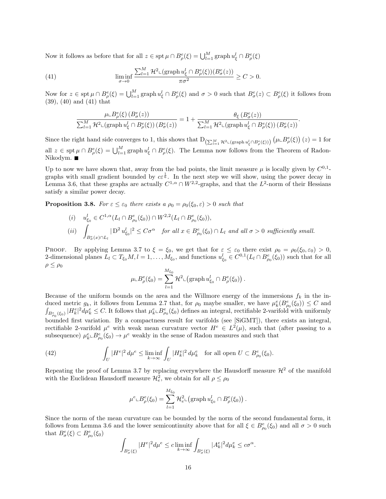Now it follows as before that for all  $z \in \operatorname{spt} \mu \cap B^e_\rho(\xi) = \bigcup_{l=1}^M \operatorname{graph} u^l_{\xi} \cap B^e_\rho(\xi)$ 

(41) 
$$
\liminf_{\sigma \to 0} \frac{\sum_{l=1}^{M} \mathcal{H}^2 \llcorner (\text{graph } u_{\xi}^l \cap B_{\rho}^e(\xi))(B_{\sigma}^e(z))}{\pi \sigma^2} \geq C > 0.
$$

Now for  $z \in \operatorname{spt} \mu \cap B^e_{\rho}(\xi) = \bigcup_{l=1}^M \operatorname{graph} u_{\xi}^l \cap B^e_{\rho}(\xi)$  and  $\sigma > 0$  such that  $B^e_{\sigma}(z) \subset B^e_{\rho}(\xi)$  it follows from (39), (40) and (41) that

$$
\frac{\mu \llcorner B^e_\rho(\xi)\left(B^e_\sigma(z)\right)}{\sum_{l=1}^M \mathcal{H}^2 \llcorner \left(\operatorname{graph} u^l_\xi \cap B^e_\rho(\xi)\right)\left(B^e_\sigma(z)\right)} = 1 + \frac{\theta_\xi\left(B^e_\sigma(z)\right)}{\sum_{l=1}^M \mathcal{H}^2 \llcorner \left(\operatorname{graph} u^l_\xi \cap B^e_\rho(\xi)\right)\left(B^e_\sigma(z)\right)}.
$$

Since the right hand side converges to 1, this shows that  $D_{\left(\sum_{l=1}^M \mathcal{H}^2 \cup (\text{graph } u^l_{\xi} \cap B^e_{\rho}(\xi))\right)} \left(\mu \cup B^e_{\rho}(\xi)\right)(z) = 1$  for all  $z \in \operatorname{spt} \mu \cap B^e_\rho(\xi) = \bigcup_{l=1}^M \operatorname{graph} u_\xi^l \cap B^e_\rho(\xi)$ . The Lemma now follows from the Theorem of Radon-Nikodym.

Up to now we have shown that, away from the bad points, the limit measure  $\mu$  is locally given by  $C^{0,1}$ graphs with small gradient bounded by  $c\epsilon^{\frac{1}{6}}$ . In the next step we will show, using the power decay in Lemma 3.6, that these graphs are actually  $C^{1,\alpha} \cap W^{2,2}$ -graphs, and that the  $L^2$ -norm of their Hessians satisfy a similar power decay.

**Proposition 3.8.** For  $\varepsilon \leq \varepsilon_0$  there exists a  $\rho_0 = \rho_0(\xi_0, \varepsilon) > 0$  such that

(i) 
$$
u_{\xi_0}^l \in C^{1,\alpha}(L_l \cap B_{\rho_0}^e(\xi_0)) \cap W^{2,2}(L_l \cap B_{\rho_0}^e(\xi_0)),
$$
  
\n(ii) 
$$
\int_{B_{\sigma}^e(x) \cap L_l} |D^2 u_{\xi_0}^l|^2 \leq C\sigma^{\alpha} \quad \text{for all } x \in B_{\rho_0}^e(\xi_0) \cap L_l \text{ and all } \sigma > 0 \text{ sufficiently small.}
$$

PROOF. By applying Lemma 3.7 to  $\xi = \xi_0$ , we get that for  $\varepsilon \leq \varepsilon_0$  there exist  $\rho_0 = \rho_0(\xi_0, \varepsilon_0) > 0$ , 2-dimensional planes  $L_l \subset T_{\xi_0}M, l = 1, \ldots, M_{\xi_0}$ , and functions  $u_{\xi_0}^l \in C^{0,1}(L_l \cap B_{\rho_0}^e(\xi_0))$  such that for all  $\rho \leq \rho_0$ 

$$
\mu \llcorner B^e_\rho(\xi_0) = \sum_{l=1}^{M_{\xi_0}} \mathcal{H}^2 \llcorner (\text{graph } u^l_{\xi_0} \cap B^e_\rho(\xi_0)).
$$

Because of the uniform bounds on the area and the Willmore energy of the immersions  $f_k$  in the induced metric  $g_k$ , it follows from Lemma 2.7 that, for  $\rho_0$  maybe smaller, we have  $\mu_k^e(B_{\rho_0}^e(\xi_0)) \leq C$  and  $\int_{B_{\rho_0}^e(\xi_0)} |H_k^e|^2 d\mu_k^e \leq C$ . It follows that  $\mu_k^e \llcorner B_{\rho_0}^e(\xi_0)$  defines an integral, rectifiable 2-varifold with uniformly bounded first variation. By a compactness result for varifolds (see [SiGMT]), there exists an integral, rectifiable 2-varifold  $\mu^e$  with weak mean curvature vector  $H^e \in L^2(\mu)$ , such that (after passing to a subsequence)  $\mu_k^e \_B^e_{\rho_0}(\xi_0) \to \mu^e$  weakly in the sense of Radon measures and such that

(42) 
$$
\int_U |H^e|^2 d\mu^e \leq \liminf_{k \to \infty} \int_U |H_k^e|^2 d\mu_k^e \quad \text{for all open } U \subset B_{\rho_0}^e(\xi_0).
$$

Repeating the proof of Lemma 3.7 by replacing everywhere the Hausdorff measure  $\mathcal{H}^2$  of the manifold with the Euclidean Hausdorff measure  $\mathcal{H}^2_e$ , we obtain for all  $\rho \leq \rho_0$ 

$$
\mu^e \llcorner B^e_\rho(\xi_0) = \sum_{l=1}^{M_{\xi_0}} \mathcal{H}^2_e \llcorner \left( \mathrm{graph} \, u^l_{\xi_0} \cap B^e_\rho(\xi_0) \right).
$$

Since the norm of the mean curvature can be bounded by the norm of the second fundamental form, it follows from Lemma 3.6 and the lower semicontinuity above that for all  $\xi \in B^e_{\rho_0}(\xi_0)$  and all  $\sigma > 0$  such that  $B^e_{\sigma}(\xi) \subset B^e_{\rho_0}(\xi_0)$ 

$$
\int_{B_{\sigma}^e(\xi)} |H^e|^2 d\mu^e \leq c \liminf_{k \to \infty} \int_{B_{\sigma}^e(\xi)} |A_k^e|^2 d\mu_k^e \leq c\sigma^{\alpha}.
$$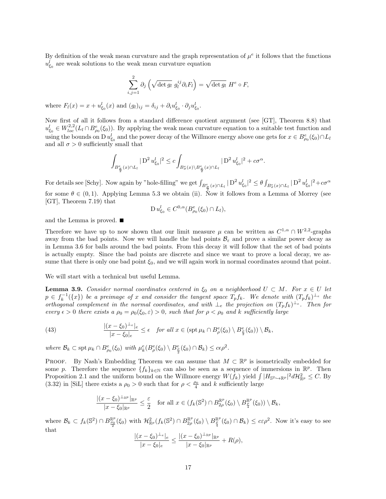By definition of the weak mean curvature and the graph representation of  $\mu^e$  it follows that the functions  $u_{\xi_0}^l$  are weak solutions to the weak mean curvature equation

$$
\sum_{i,j=1}^{2} \partial_{j} \left( \sqrt{\det g_{l}} \ g_{l}^{ij} \partial_{i} F_{l} \right) = \sqrt{\det g_{l}} \ H^{e} \circ F,
$$

where  $F_l(x) = x + u_{\xi_0}^l(x)$  and  $(g_l)_{ij} = \delta_{ij} + \partial_i u_{\xi_0}^l \cdot \partial_j u_{\xi_0}^l$ .

Now first of all it follows from a standard difference quotient argument (see [GT], Theorem 8.8) that  $u_{\xi_0}^l \in W_{loc}^{2,2}(L_l \cap B_{\rho_0}^e(\xi_0))$ . By applying the weak mean curvature equation to a suitable test function and using the bounds on D  $u_{\xi_0}^l$  and the power decay of the Willmore energy above one gets for  $x \in B_{\rho_0}^e(\xi_0) \cap L_l$ and all  $\sigma > 0$  sufficiently small that

$$
\int_{B_{\frac{\sigma}{2}}^e(x)\cap L_l}|\operatorname{D}^2 u_{\xi_0}^l|^2\leq c\int_{B_{\sigma}^e(x)\backslash B_{\frac{\sigma}{2}}^e(x)\cap L_l}|\operatorname{D}^2 u_{\xi_0}^l|^2+c\sigma^{\alpha}.
$$

For details see [Schy]. Now again by "hole-filling" we get  $\int_{B_{\frac{\sigma}{2}}^e(x)\cap L_l} |D^2 u_{\xi_0}^l|^2 \leq \theta \int_{B_{\sigma}^e(x)\cap L_l} |D^2 u_{\xi_0}^l|^2 + c\sigma^{\alpha}$ for some  $\theta \in (0,1)$ . Applying Lemma 5.3 we obtain (ii). Now it follows from a Lemma of Morrey (see [GT], Theorem 7.19) that

$$
\mathrm{D}\, u_{\xi_0}^l \in C^{0,\alpha}(B_{\rho_0}^e(\xi_0) \cap L_l),
$$

and the Lemma is proved.

Therefore we have up to now shown that our limit measure  $\mu$  can be written as  $C^{1,\alpha} \cap W^{2,2}$ -graphs away from the bad points. Now we will handle the bad points  $\mathcal{B}_{\varepsilon}$  and prove a similar power decay as in Lemma 3.6 for balls around the bad points. From this decay it will follow that the set of bad points is actually empty. Since the bad points are discrete and since we want to prove a local decay, we assume that there is only one bad point  $\xi_0$ , and we will again work in normal coordinates around that point.

We will start with a technical but useful Lemma.

**Lemma 3.9.** Consider normal coordinates centered in  $\xi_0$  on a neighborhood  $U \subset M$ . For  $x \in U$  let  $p \in f_k^{-1}(\lbrace x \rbrace)$  be a preimage of x and consider the tangent space  $T_p f_k$ . We denote with  $(T_p f_k)^{\perp_e}$  the orthogonal complement in the normal coordinates, and with  $\perp_e$  the projection on  $(T_p f_k)^{\perp_e}$ . Then for every  $\epsilon > 0$  there exists a  $\rho_0 = \rho_0(\xi_0, \varepsilon) > 0$ , such that for  $\rho < \rho_0$  and k sufficiently large

(43) 
$$
\frac{|(x-\xi_0)^{\perp_e}|_e}{|x-\xi_0|_e} \leq \epsilon \quad \text{for all } x \in (\text{spt } \mu_k \cap B^e_\rho(\xi_0) \setminus B^e_\frac{\rho}{2}(\xi_0)) \setminus \mathcal{B}_k,
$$

where  $\mathcal{B}_k \subset \operatorname{spt} \mu_k \cap B^e_{\rho_0}(\xi_0)$  with  $\mu_k^e(B^e_{\rho}(\xi_0) \setminus B^e_{\frac{\rho}{2}}(\xi_0) \cap \mathcal{B}_k) \leq c\epsilon \rho^2$ .

PROOF. By Nash's Embedding Theorem we can assume that  $M \subset \mathbb{R}^p$  is isometrically embedded for some p. Therefore the sequence  $\{f_k\}_{k\in\mathbb{N}}$  can also be seen as a sequence of immersions in  $\mathbb{R}^p$ . Then Proposition 2.1 and the uniform bound on the Willmore energy  $W(f_k)$  yield  $\int |H_{\mathbb{S}^2 \to \mathbb{R}^p}|^2 d\mathcal{H}_{\mathbb{R}^p}^2 \leq C$ . By (3.32) in [SiL] there exists a  $\rho_0 > 0$  such that for  $\rho < \frac{\rho_0}{4}$  and k sufficiently large

$$
\frac{|(x-\xi_0)^{\perp_{\mathbb{R}^p}}|_{\mathbb{R}^p}}{|x-\xi_0|_{\mathbb{R}^p}} \leq \frac{\varepsilon}{2} \quad \text{for all } x \in (f_k(\mathbb{S}^2) \cap B_{2\rho}^{\mathbb{R}^p}(\xi_0) \setminus B_{\frac{\rho}{4}}^{\mathbb{R}^p}(\xi_0)) \setminus \mathcal{B}_k,
$$

where  $\mathcal{B}_k \subset f_k(\mathbb{S}^2) \cap B_{\frac{\rho_0}{2}}^{\mathbb{R}^p}(\xi_0)$  with  $\mathcal{H}^2_{\mathbb{R}^p}(f_k(\mathbb{S}^2) \cap B_{2\rho}^{\mathbb{R}^p}(\xi_0) \setminus B_{\frac{\rho}{4}}^{\mathbb{R}^p}(\xi_0) \cap \mathcal{B}_k) \leq c\varepsilon \rho^2$ . Now it's easy to see that

$$
\frac{|(x-\xi_0)^{\perp_e}|_e}{|x-\xi_0|_e} \le \frac{|(x-\xi_0)^{\perp_{\mathbb{R}^p}}|_{\mathbb{R}^p}}{|x-\xi_0|_{\mathbb{R}^p}} + R(\rho),
$$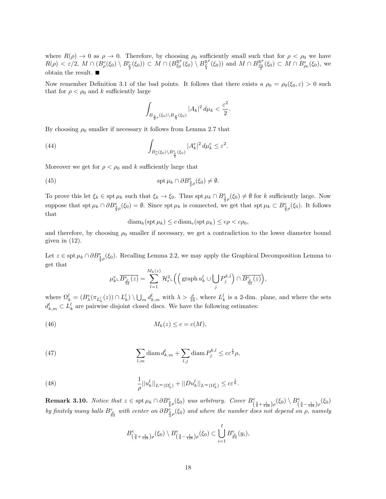where  $R(\rho) \to 0$  as  $\rho \to 0$ . Therefore, by choosing  $\rho_0$  sufficiently small such that for  $\rho < \rho_0$  we have  $R(\rho) < \varepsilon/2$ ,  $M \cap (B^e_\rho(\xi_0) \setminus B^e_{\frac{\rho}{2}}(\xi_0)) \subset M \cap (B^{\mathbb{R}^p}_{2\rho}(\xi_0) \setminus B^{\mathbb{R}^p}_{\frac{\rho}{4}}(\xi_0))$  and  $M \cap B^{\mathbb{R}^p}_{\frac{\rho_0}{2}}(\xi_0) \subset M \cap B^e_{\rho_0}(\xi_0)$ , we obtain the result.  $\blacksquare$ 

Now remember Definition 3.1 of the bad points. It follows that there exists a  $\rho_0 = \rho_0(\xi_0, \varepsilon) > 0$  such that for  $\rho < \rho_0$  and k sufficiently large

$$
\int_{B_{\frac{3}{2}\rho}(\xi_0)\backslash B_{\frac{\rho}{4}}(\xi_0)} |A_k|^2 \, d\mu_k < \frac{\varepsilon^2}{2}.
$$

By choosing  $\rho_0$  smaller if necessary it follows from Lemma 2.7 that

(44) 
$$
\int_{B_{\rho}^e(\xi_0)\backslash B_{\frac{\rho}{2}}^e(\xi_0)} |A_k^e|^2 d\mu_k^e \leq \varepsilon^2.
$$

Moreover we get for  $\rho < \rho_0$  and k sufficiently large that

(45) 
$$
\operatorname{spt} \mu_k \cap \partial B^e_{\frac{3}{4}\rho}(\xi_0) \neq \emptyset.
$$

To prove this let  $\xi_k \in \operatorname{spt} \mu_k$  such that  $\xi_k \to \xi_0$ . Thus  $\operatorname{spt} \mu_k \cap B_{\frac{3}{4}\rho}^e(\xi_0) \neq \emptyset$  for k sufficiently large. Now suppose that  $\operatorname{spt} \mu_k \cap \partial B_{\frac{3}{4}\rho}^e(\xi_0) = \emptyset$ . Since  $\operatorname{spt} \mu_k$  is connected, we get that  $\operatorname{spt} \mu_k \subset B_{\frac{3}{4}\rho}^e(\xi_0)$ . It follows that

$$
\text{diam}_h(\text{spt}\,\mu_k) \leq c \,\text{diam}_e(\text{spt}\,\mu_k) \leq c\rho < c\rho_0,
$$

and therefore, by choosing  $\rho_0$  smaller if necessary, we get a contradiction to the lower diameter bound given in  $(12)$ .

Let  $z \in \text{spt } \mu_k \cap \partial B_{\frac{3}{4}\rho}^e(\xi_0)$ . Recalling Lemma 2.2, we may apply the Graphical Decomposition Lemma to get that

$$
\mu_k^e \llcorner \overline{B_{\frac{\rho}{32}}^e(z)} = \sum_{l=1}^{M_k(z)} \mathcal{H}_e^2 \llcorner \Big( \Big( \operatorname{graph} u_k^l \cup \bigcup_j P_j^{k,l} \Big) \cap \overline{B_{\frac{\rho}{32}}^e(z)} \Big),
$$

where  $\Omega_k^l = (B_{\lambda}^e(\pi_{L_k^l}(z)) \cap L_k^l) \setminus \bigcup_m d_{k,m}^l$  with  $\lambda > \frac{\rho}{16}$ , where  $L_k^l$  is a 2-dim. plane, and where the sets  $d_{k,m}^l \subset L_k^l$  are pairwise disjoint closed discs. We have the following estimates:

(46) 
$$
M_k(z) \leq c = c(M),
$$

(47) 
$$
\sum_{l,m} \text{diam } d^l_{k,m} + \sum_{l,j} \text{diam } P_j^{k,l} \leq c \varepsilon^{\frac{1}{2}} \rho,
$$

(48) 
$$
\frac{1}{\rho}||u_k^l||_{L^{\infty}(\Omega_k^l)} + ||Du_k^l||_{L^{\infty}(\Omega_k^l)} \leq c\varepsilon^{\frac{1}{6}}.
$$

**Remark 3.10.** Notice that  $z \in \text{spt } \mu_k \cap \partial B_{\frac{3}{4}\rho}^e(\xi_0)$  was arbitrary. Cover  $B_{\left(\frac{3}{4} + \frac{1}{128}\right)\rho}^e(\xi_0) \setminus B_{\left(\frac{3}{4} - \frac{1}{128}\right)\rho}^e(\xi_0)$ by finitely many balls  $B^e_{\frac{\rho}{64}}$  with center on  $\partial B^e_{\frac{3}{4}\rho}(\xi_0)$  and where the number does not depend on  $\rho$ , namely

$$
B^e_{\left(\frac{3}{4}+\frac{1}{128}\right)\rho}(\xi_0) \setminus B^e_{\left(\frac{3}{4}-\frac{1}{128}\right)\rho}(\xi_0) \subset \bigcup_{i=1}^I B^e_{\frac{\rho}{64}}(y_i),
$$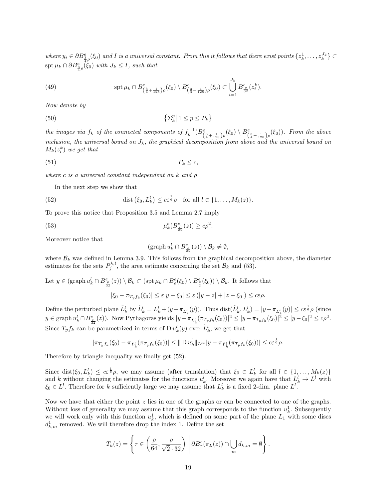where  $y_i \in \partial B_{\frac{3}{4}\rho}^e(\xi_0)$  and I is a universal constant. From this it follows that there exist points  $\{z_k^1, \ldots, z_k^{J_k}\}\subset$  $\operatorname{spt} \mu_k \cap \partial B_{\frac{3}{4}\rho}^e(\xi_0)$  with  $J_k \leq I$ , such that

(49) 
$$
\mathrm{spt}\,\mu_k \cap B^e_{\left(\frac{3}{4} + \frac{1}{128}\right)\rho}(\xi_0) \setminus B^e_{\left(\frac{3}{4} - \frac{1}{128}\right)\rho}(\xi_0) \subset \bigcup_{i=1}^{J_k} B^e_{\frac{\rho}{32}}(z_i^k).
$$

Now denote by

$$
\{ \Sigma_k^p \mid 1 \le p \le P_k \}
$$

the images via  $f_k$  of the connected components of  $f_k^{-1}(B^e_{(\frac{3}{4}+\frac{1}{128})\rho}(\xi_0)\setminus B^e_{(\frac{3}{4}-\frac{1}{128})\rho}(\xi_0))$ . From the above inclusion, the universal bound on  $J_k$ , the graphical decomposition from above and the universal bound on  $M_k(z_i^k)$  we get that

$$
(51) \t\t P_k \leq c,
$$

where c is a universal constant independent on  $k$  and  $\rho$ .

In the next step we show that

(52) dist 
$$
(\xi_0, L_k^l) \leq c \varepsilon^{\frac{1}{6}} \rho
$$
 for all  $l \in \{1, ..., M_k(z)\}.$ 

To prove this notice that Proposition 3.5 and Lemma 2.7 imply

(53) 
$$
\mu_k^e(B_{\frac{\rho}{32}}^e(z)) \geq c\rho^2.
$$

Moreover notice that

$$
(\operatorname{graph} u_k^l \cap B^e_{\frac{\rho}{32}}(z)) \setminus \mathcal{B}_k \neq \emptyset,
$$

where  $\mathcal{B}_k$  was defined in Lemma 3.9. This follows from the graphical decomposition above, the diameter estimates for the sets  $P_j^{k,l}$ , the area estimate concerning the set  $\mathcal{B}_k$  and (53).

Let  $y \in (\text{graph } u_k^l \cap B_{\frac{\rho}{32}}^e(z)) \setminus \mathcal{B}_k \subset (\text{spt } \mu_k \cap B_{\rho}^e(\xi_0) \setminus B_{\frac{\rho}{2}}^e(\xi_0)) \setminus \mathcal{B}_k$ . It follows that

$$
|\xi_0 - \pi_{T_y f_k}(\xi_0)| \leq \varepsilon |y - \xi_0| \leq \varepsilon (|y - z| + |z - \xi_0|) \leq c\varepsilon \rho.
$$

Define the perturbed plane  $\tilde{L}_k^l$  by  $\tilde{L}_k^l = L_k^l + (y - \pi_{L_k^l}(y))$ . Thus  $dist(\tilde{L}_k^l, L_k^l) = |y - \pi_{L_k^l}(y)| \leq c \varepsilon^{\frac{1}{6}} \rho$  (since  $y \in \text{graph } u_k^l \cap B_{\frac{\rho}{32}}^e(z)$ ). Now Pythagoras yields  $|y - \pi_{\tilde{L}_k^l}(\pi_{T_yf_k}(\xi_0))|^2 \le |y - \pi_{T_yf_k}(\xi_0)|^2 \le |y - \xi_0|^2 \le c\rho^2$ . Since  $T_y f_k$  can be parametrized in terms of D  $u_k^l(y)$  over  $\tilde{L}_k^l$ , we get that

$$
|\pi_{T_yf_k}(\xi_0)-\pi_{\tilde{L}_k^l}(\pi_{T_yf_k}(\xi_0))|\leq \|\operatorname{D} u_k^l\|_{L^\infty} |y-\pi_{\tilde{L}_k^l}(\pi_{T_yf_k}(\xi_0))|\leq c \varepsilon^{\frac{1}{6}}\rho.
$$

Therefore by triangle inequality we finally get (52).

Since  $dist(\xi_0, L_k^l) \leq c \varepsilon^{\frac{1}{6}} \rho$ , we may assume (after translation) that  $\xi_0 \in L_k^l$  for all  $l \in \{1, ..., M_k(z)\}\$ and k without changing the estimates for the functions  $u_k^l$ . Moreover we again have that  $L_k^l \to L^l$  with  $\xi_0 \in L^l$ . Therefore for k sufficiently large we may assume that  $L^l_k$  is a fixed 2-dim. plane  $L^l$ .

Now we have that either the point  $z$  lies in one of the graphs or can be connected to one of the graphs. Without loss of generality we may assume that this graph corresponds to the function  $u_k^1$ . Subsequently we will work only with this function  $u_k^1$ , which is defined on some part of the plane  $L_1$  with some discs  $d_{k,m}^1$  removed. We will therefore drop the index 1. Define the set

$$
T_k(z) = \left\{ \tau \in \left( \frac{\rho}{64}, \frac{\rho}{\sqrt{2} \cdot 32} \right) \middle| \partial B^e_\tau(\pi_L(z)) \cap \bigcup_m d_{k,m} = \emptyset \right\}.
$$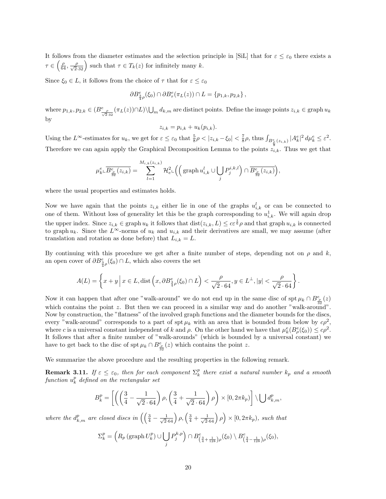It follows from the diameter estimates and the selection principle in [SiL] that for  $\varepsilon \leq \varepsilon_0$  there exists a  $\tau \in \left(\frac{\rho}{64}, \frac{\rho}{\sqrt{2.32}}\right)$  such that  $\tau \in T_k(z)$  for infinitely many k.

Since  $\xi_0 \in L$ , it follows from the choice of  $\tau$  that for  $\varepsilon \leq \varepsilon_0$ 

$$
\partial B_{\frac{3}{4}\rho}^e(\xi_0)\cap \partial B_{\tau}^e(\pi_L(z))\cap L=\{p_{1,k},p_{2,k}\}\,
$$

where  $p_{1,k}, p_{2,k} \in (B_{\frac{\rho}{\sqrt{2}}.32}^e(\pi_L(z)) \cap L) \setminus \bigcup_m d_{k,m}$  are distinct points. Define the image points  $z_{i,k} \in \text{graph } u_k$ by

$$
z_{i,k} = p_{i,k} + u_k(p_{i,k}).
$$

Using the  $L^{\infty}$ -estimates for  $u_k$ , we get for  $\varepsilon \leq \varepsilon_0$  that  $\frac{5}{8}\rho < |z_{i,k} - \xi_0| < \frac{7}{8}\rho$ , thus  $\int_{B^e_{\rho}(z_{i,k})} |A^e_k|^2 d\mu_k^e \leq \varepsilon^2$ . Therefore we can again apply the Graphical Decomposition Lemma to the points  $\bar{z}_{i,k}$ . Thus we get that

$$
\mu_k^e \llcorner \overline{B_{\frac{\rho}{32}}^e(z_{i,k})} = \sum_{l=1}^{M_{i,k}(z_{i,k})} \mathcal{H}_e^2 \llcorner \left( \left( \text{graph } u_{i,k}^l \cup \bigcup_j P_j^{i,k,l} \right) \cap \overline{B_{\frac{\rho}{32}}^e(z_{i,k})} \right),
$$

where the usual properties and estimates holds.

Now we have again that the points  $z_{i,k}$  either lie in one of the graphs  $u_{i,k}^l$  or can be connected to one of them. Without loss of generality let this be the graph corresponding to  $u_{i,k}^1$ . We will again drop the upper index. Since  $z_{i,k} \in \text{graph } u_k$  it follows that  $\text{dist}(z_{i,k}, L) \leq c \varepsilon^{\frac{1}{6}} \rho$  and that graph  $u_{i,k}$  is connected to graph  $u_k$ . Since the  $L^{\infty}$ -norms of  $u_k$  and  $u_{i,k}$  and their derivatives are small, we may assume (after translation and rotation as done before) that  $L_{i,k} = L$ .

By continuing with this procedure we get after a finite number of steps, depending not on  $\rho$  and k, an open cover of  $\partial B_{\frac{2}{3}\rho}^e(\xi_0) \cap L$ , which also covers the set

$$
A(L) = \left\{ x + y \, \middle| \, x \in L, \text{dist}\left(x, \partial B_{\frac{3}{4}\rho}^e(\xi_0) \cap L\right) < \frac{\rho}{\sqrt{2} \cdot 64}, y \in L^\perp, |y| < \frac{\rho}{\sqrt{2} \cdot 64} \right\}.
$$

Now it can happen that after one "walk-around" we do not end up in the same disc of spt  $\mu_k \cap B^e_{\frac{\rho}{\sigma}}(z)$ which contains the point z. But then we can proceed in a similar way and do another "walk-around". Now by construction, the "flatness" of the involved graph functions and the diameter bounds for the discs, every "walk-around" corresponds to a part of spt  $\mu_k$  with an area that is bounded from below by  $c\rho^2$ , where c is a universal constant independent of k and  $\rho$ . On the other hand we have that  $\mu_k^e(B_\rho^e(\xi_0)) \leq c\rho^2$ . It follows that after a finite number of "walk-arounds" (which is bounded by a universal constant) we have to get back to the disc of  $\operatorname{spt} \mu_k \cap B^e_{\frac{\rho}{32}}(z)$  which contains the point z.

We summarize the above procedure and the resulting properties in the following remark.

**Remark 3.11.** If  $\varepsilon \leq \varepsilon_0$ , then for each component  $\Sigma_k^p$  there exist a natural number  $k_p$  and a smooth  $\emph{function $u_k^p$ defined on the rectangular set}$ 

$$
B_k^p = \left[ \left( \left( \frac{3}{4} - \frac{1}{\sqrt{2 \cdot 64}} \right) \rho, \left( \frac{3}{4} + \frac{1}{\sqrt{2 \cdot 64}} \right) \rho \right) \times [0, 2\pi k_p) \right] \setminus \bigcup d_{k,m}^p,
$$

where the  $d_{k,m}^p$  are closed discs in  $\left(\left(\frac{3}{4}-\frac{1}{\sqrt{2}\cdot 64}\right)\rho,\left(\frac{3}{4}+\frac{1}{\sqrt{2}\cdot 64}\right)\rho\right)\times [0,2\pi k_p)$ , such that

$$
\Sigma_k^p = \left( R_p \left( \text{graph } U_k^p \right) \cup \bigcup_j P_j^{k,p} \right) \cap B_{\left(\frac{3}{4} + \frac{1}{128}\right)\rho}^e(\xi_0) \setminus B_{\left(\frac{3}{4} - \frac{1}{128}\right)\rho}^e(\xi_0),
$$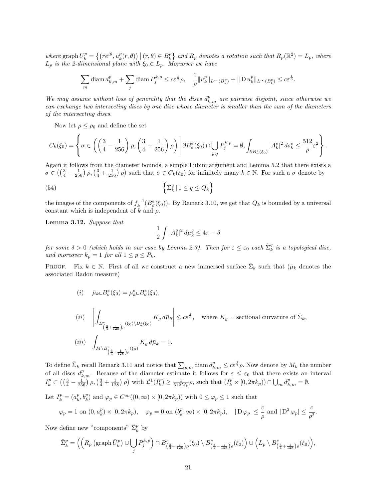where  $\text{graph } U^p_k = \left\{ \left( re^{i\theta}, u^p_k(r, \theta) \right) \mid (r, \theta) \in B^p_k \right\}$  and  $R_p$  denotes a rotation such that  $R_p(\mathbb{R}^2) = L_p$ , where  $L_p$  is the 2-dimensional plane with  $\xi_0 \in L_p$ . Moreover we have

$$
\sum_m \operatorname{diam} d^p_{k,m} + \sum_j \operatorname{diam} P^{k,p}_j \leq c \varepsilon^{\frac{1}{2}} \rho, \quad \frac{1}{\rho} \|u^p_k\|_{L^\infty(B^p_k)} + \|\operatorname{D} u^p_k\|_{L^\infty(B^p_k)} \leq c \varepsilon^{\frac{1}{6}}.
$$

We may assume without loss of generality that the discs  $d_{k,m}^p$  are pairwise disjoint, since otherwise we can exchange two intersecting discs by one disc whose diameter is smaller than the sum of the diameters of the intersecting discs.

Now let  $\rho \leq \rho_0$  and define the set

$$
C_k(\xi_0) = \left\{ \sigma \in \left( \left( \frac{3}{4} - \frac{1}{256} \right) \rho, \left( \frac{3}{4} + \frac{1}{256} \right) \rho \right) \middle| \partial B^e_\sigma(\xi_0) \cap \bigcup_{p,j} P_j^{k,p} = \emptyset, \int_{\partial B^e_\sigma(\xi_0)} |A^e_k|^2 \, ds^e_k \leq \frac{512}{\rho} \varepsilon^2 \right\}.
$$

Again it follows from the diameter bounds, a simple Fubini argument and Lemma 5.2 that there exists a  $\sigma \in \left(\left(\frac{3}{4}-\frac{1}{256}\right)\rho,\left(\frac{3}{4}+\frac{1}{256}\right)\rho\right)$  such that  $\sigma \in C_k(\xi_0)$  for infinitely many  $k \in \mathbb{N}$ . For such a  $\sigma$  denote by

(54) 
$$
\left\{\tilde{\Sigma}_k^q \mid 1 \le q \le Q_k\right\}
$$

the images of the components of  $f_k^{-1}(B^e_{\sigma}(\xi_0))$ . By Remark 3.10, we get that  $Q_k$  is bounded by a universal constant which is independent of k and  $\rho$ .

Lemma 3.12. Suppose that

$$
\frac{1}{2}\int |A_k^g|^2\,d\mu_k^g\leq 4\pi-\delta
$$

for some  $\delta > 0$  (which holds in our case by Lemma 2.3). Then for  $\varepsilon \leq \varepsilon_0$  each  $\tilde{\Sigma}^q_k$  is a topological disc, and moreover  $k_p = 1$  for all  $1 \le p \le P_k$ .

**PROOF.** Fix  $k \in \mathbb{N}$ . First of all we construct a new immersed surface  $\bar{\Sigma}_k$  such that  $(\bar{\mu}_k$  denotes the associated Radon measure)

$$
(i) \quad \bar{\mu}_k \llcorner B^e_{\sigma}(\xi_0) = \mu_k^e \llcorner B^e_{\sigma}(\xi_0),
$$

$$
(ii) \quad \left| \int_{B_{\left(\frac{3}{4} + \frac{1}{128}\right)\rho}} K_g d\bar{\mu}_k \right| \leq c \varepsilon^{\frac{1}{3}}, \quad \text{where } K_g = \text{sectional curvature of } \bar{\Sigma}_k,
$$
\n
$$
(iii) \quad \int_{M \backslash B_{\left(\frac{3}{4} + \frac{1}{128}\right)\rho}} K_g d\bar{\mu}_k = 0.
$$

To define  $\bar{\Sigma}_k$  recall Remark 3.11 and notice that  $\sum_{p,m}$  diam  $d_{k,m}^p \leq c \varepsilon^{\frac{1}{2}} \rho$ . Now denote by  $M_k$  the number of all discs  $d_{k,m}^p$ . Because of the diameter estimate it follows for  $\varepsilon \leq \varepsilon_0$  that there exists an interval  $I_k^p \subset \left( \left( \frac{3}{4} - \frac{1}{256} \right) \rho, \left( \frac{3}{4} + \frac{1}{128} \right) \rho \right)$  with  $\mathcal{L}^1(I_k^p) \ge \frac{1}{512M_k} \rho$ , such that  $(I_k^p \times [0, 2\pi k_p)) \cap \bigcup_m d_{k,m}^p = \emptyset$ .

Let  $I_k^p = (a_k^p, b_k^p)$  and  $\varphi_p \in C^\infty((0, \infty) \times [0, 2\pi k_p))$  with  $0 \le \varphi_p \le 1$  such that

$$
\varphi_p = 1 \text{ on } (0, a_k^p) \times [0, 2\pi k_p), \quad \varphi_p = 0 \text{ on } (b_k^p, \infty) \times [0, 2\pi k_p), \quad |D\varphi_p| \leq \frac{c}{\rho} \text{ and } |D^2\varphi_p| \leq \frac{c}{\rho^2}.
$$

Now define new "components"  $\bar{\Sigma}_k^p$  by

$$
\bar{\Sigma}_k^p = \left( \left( R_p \left( \text{graph}\,\bar{U}_k^p \right) \cup \bigcup_j P_j^{k,p} \right) \cap B_{\left(\frac{3}{4} + \frac{1}{128}\right)\rho}^e(\xi_0) \setminus B_{\left(\frac{3}{4} - \frac{1}{128}\right)\rho}^e(\xi_0) \right) \cup \left( L_p \setminus B_{\left(\frac{3}{4} + \frac{1}{128}\right)\rho}^e(\xi_0) \right),
$$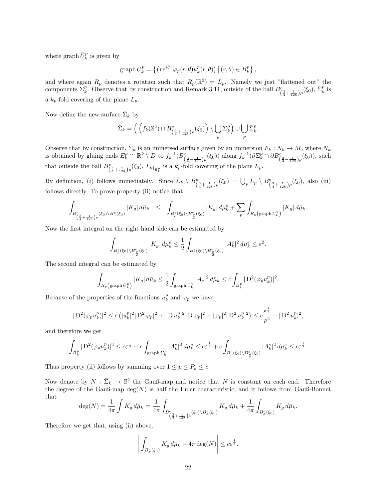where graph  $\bar{U}_k^p$  is given by

$$
\text{graph}\,\bar{U}_k^p = \left\{ \left( r e^{i\theta}, \varphi_p(r,\theta) u_k^p(r,\theta) \right) \big| (r,\theta) \in B_k^p \right\},\
$$

and where again  $R_p$  denotes a rotation such that  $R_p(\mathbb{R}^2) = L_p$ . Namely we just "flattened out" the components  $\Sigma_k^p$ . Observe that by construction and Remark 3.11, outside of the ball  $B^e_{(\frac{3}{4}+\frac{1}{128})\rho}(\xi_0)$ ,  $\bar{\Sigma}_k^p$  is a  $k_p$ -fold covering of the plane  $L_p$ .

Now define the new surface  $\bar{\Sigma}_k$  by

$$
\bar{\Sigma}_k = \left( \left( f_k(\mathbb{S}^2) \cap B^e_{\left(\frac{3}{4} + \frac{1}{128}\right)\rho}(\xi_0) \right) \setminus \bigcup_p \Sigma^p_k \right) \cup \bigcup_p \bar{\Sigma}^p_k.
$$

Observe that by construction,  $\bar{\Sigma}_k$  is an immersed surface given by an immersion  $F_k : N_k \to M$ , where  $N_k$ is obtained by gluing ends  $E_k^p \cong \mathbb{R}^2 \setminus D$  to  $f_k^{-1}(B_{(\frac{3}{4}-\frac{1}{128})\rho}^e(\xi_0))$  along  $f_k^{-1}(\partial \Sigma_k^p \cap \partial B_{(\frac{3}{4}-\frac{1}{128})\rho}^e(\xi_0))$ , such that outside the ball  $B_{\left(\frac{3}{4}+\frac{1}{128}\right)\rho}^e(\xi_0), F_{k|_{E_k^p}}$  is a  $k_p$ -fold covering of the plane  $L_p$ .

By definition, (*i*) follows immediately. Since  $\bar{\Sigma}_k \setminus B^e_{(\frac{3}{4} + \frac{1}{128})\rho}(\xi_0) = \bigcup_p L_p \setminus B^e_{(\frac{3}{4} + \frac{1}{128})\rho}(\xi_0)$ , also (iii) follows directly. To prove property (ii) notice that

$$
\int_{B_{\left(\frac{3}{4}+\frac{1}{128}\right)\rho}^e(\xi_0)\backslash B_{\sigma}^e(\xi_0)}|K_g|\,d\bar{\mu}_k\quad\leq\quad \int_{B_{\rho}^e(\xi_0)\backslash B_{\frac{\rho}{2}}^e(\xi_0)}|K_g|\,d\mu_k^e+\sum_p\int_{R_p\left(\text{graph }\bar{U}_k^p\right)}|K_g|\,d\bar{\mu}_k.
$$

Now the first integral on the right hand side can be estimated by

$$
\int_{B_{\rho}^e(\xi_0)\backslash B_{\frac{\rho}{2}}^e(\xi_0)}|K_g|\,d\mu_k^e\leq \frac{1}{2}\int_{B_{\rho}^e(\xi_0)\backslash B_{\frac{\rho}{2}}^e(\xi_0)}|A_k^e|^2\,d\mu_k^e\leq \varepsilon^2.
$$

The second integral can be estimated by

$$
\int_{R_p(\text{graph}\,\bar{U}_k^p)} |K_g|\,d\bar{\mu}_k \leq \frac{1}{2} \int_{\text{graph}\,\bar{U}_k^p} |A_e|^2\,d\bar{\mu}_k \leq c \int_{B_k^p} |\mathcal{D}^2(\varphi_p u_k^p)|^2.
$$

Because of the properties of the functions  $u_k^p$  and  $\varphi_p$  we have

$$
|\operatorname{D}^2(\varphi_p u_k^p)|^2 \le c \left( |u_k^p|^2 |\operatorname{D}^2 \varphi_p|^2 + |\operatorname{D} u_k^p|^2 |\operatorname{D} \varphi_p|^2 + |\varphi_p|^2 |\operatorname{D}^2 u_k^p|^2 \right) \le c \frac{\varepsilon^{\frac{1}{3}}}{\rho^2} + |\operatorname{D}^2 u_k^p|^2,
$$

and therefore we get

$$
\int_{B_k^p}|\mathcal{D}^2(\varphi_p u_k^p)|^2\leq c\varepsilon^{\frac{1}{3}}+c\int_{\text{graph}\,U_k^p}|A_k^e|^2\,d\mu_k^e\leq c\varepsilon^{\frac{1}{3}}+c\int_{B_\rho^e(\xi_0)\backslash B_{\frac{\rho}{2}}^e(\xi_0)}|A_k^e|^2\,d\mu_k^e\leq c\varepsilon^{\frac{1}{3}}.
$$

Thus property (ii) follows by summing over  $1 \leq p \leq P_k \leq c$ .

Now denote by  $N : \bar{\Sigma}_k \to \mathbb{S}^2$  the Gauß-map and notice that N is constant on each end. Therefore the degree of the Gauß-map  $\deg(N)$  is half the Euler characteristic, and it follows from Gauß-Bonnet that

$$
\deg(N) = \frac{1}{4\pi} \int K_g d\bar{\mu}_k = \frac{1}{4\pi} \int_{B_{\left(\frac{3}{4} + \frac{1}{128}\right)\rho}^e(\xi_0) \backslash B_{\sigma}^e(\xi_0)} K_g d\bar{\mu}_k + \frac{1}{4\pi} \int_{B_{\sigma}^e(\xi_0)} K_g d\bar{\mu}_k.
$$

Therefore we get that, using (ii) above,

$$
\left| \int_{B_{\sigma}^e(\xi_0)} K_g d\bar{\mu}_k - 4\pi \deg(N) \right| \leq c \varepsilon^{\frac{1}{3}}.
$$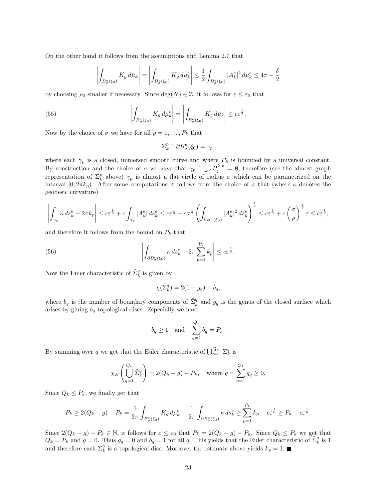On the other hand it follows from the assumptions and Lemma 2.7 that

$$
\left| \int_{B_{\sigma}^e(\xi_0)} K_g d\bar{\mu}_k \right| = \left| \int_{B_{\sigma}^e(\xi_0)} K_g d\mu_k^e \right| \leq \frac{1}{2} \int_{B_{\sigma}^e(\xi_0)} |A_k^e|^2 d\mu_k^e \leq 4\pi - \frac{\delta}{2}
$$

by choosing  $\rho_0$  smaller if necessary. Since  $\deg(N) \in \mathbb{Z}$ , it follows for  $\varepsilon \leq \varepsilon_0$  that

(55) 
$$
\left| \int_{B_{\sigma}^e(\xi_0)} K_g d\mu_k^e \right| = \left| \int_{B_{\sigma}^e(\xi_0)} K_g d\bar{\mu}_k \right| \leq c \varepsilon^{\frac{1}{3}}.
$$

Now by the choice of  $\sigma$  we have for all  $p = 1, \ldots, P_k$  that

$$
\Sigma^p_k \cap \partial B^e_{\sigma}(\xi_0) = \gamma_p,
$$

where each  $\gamma_p$  is a closed, immersed smooth curve and where  $P_k$  is bounded by a universal constant. By construction and the choice of  $\sigma$  we have that  $\gamma_p \cap \bigcup_j P_j^{k,p} = \emptyset$ , therefore (see the almost graph representation of  $\Sigma_k^p$  above)  $\gamma_p$  is almost a flat circle of radius  $\sigma$  which can be parametrized on the interval  $[0, 2\pi k_p)$ . After some computations it follows from the choice of  $\sigma$  that (where  $\kappa$  denotes the geodesic curvature)

$$
\left|\int_{\gamma_p} \kappa \, ds_k^e - 2\pi k_p \right| \leq c \varepsilon^{\frac{1}{6}} + c \int_{\gamma_p} |A_k^e| \, ds_k^e \leq c \varepsilon^{\frac{1}{6}} + c \sigma^{\frac{1}{2}} \left( \int_{\partial B_\sigma^e(\xi_0)} |A_k^e|^2 \, ds_k^e \right)^{\frac{1}{2}} \leq c \varepsilon^{\frac{1}{6}} + c \left( \frac{\sigma}{\rho} \right)^{\frac{1}{2}} \varepsilon \leq c \varepsilon^{\frac{1}{6}},
$$

and therefore it follows from the bound on  $P_k$  that

(56) 
$$
\left| \int_{\partial B_{\sigma}^e(\xi_0)} \kappa \, ds_k^e - 2\pi \sum_{p=1}^{P_k} k_p \right| \leq c \varepsilon^{\frac{1}{6}}.
$$

Now the Euler characteristic of  $\tilde{\Sigma}_k^q$  is given by

$$
\chi(\tilde{\Sigma}_k^q) = 2(1 - g_q) - b_q,
$$

where  $b_q$  is the number of boundary components of  $\tilde{\Sigma}_k^q$  and  $g_q$  is the genus of the closed surface which arises by gluing  $b_q$  topological discs. Especially we have

$$
b_q \ge 1
$$
 and  $\sum_{q=1}^{Q_k} b_q = P_k$ .

By summing over q we get that the Euler characteristic of  $\bigcup_{q=1}^{Q_k} \tilde{\Sigma}_k^q$  is

$$
\chi_E\left(\bigcup_{q=1}^{Q_k} \tilde{\Sigma}_k^q\right) = 2(Q_k - g) - P_k, \text{ where } g = \sum_{q=1}^{Q_k} g_q \ge 0.
$$

Since  $Q_k \leq P_k$ , we finally get that

$$
P_k \geq 2(Q_k - g) - P_k = \frac{1}{2\pi} \int_{B^e_{\sigma}(\xi_0)} K_g \, d\mu_k^e + \frac{1}{2\pi} \int_{\partial B^e_{\sigma}(\xi_0)} \kappa \, ds_k^e \geq \sum_{p=1}^{P_k} k_p - c \varepsilon^{\frac{1}{6}} \geq P_k - c \varepsilon^{\frac{1}{6}}.
$$

Since  $2(Q_k - g) - P_k \in \mathbb{N}$ , it follows for  $\varepsilon \leq \varepsilon_0$  that  $P_k = 2(Q_k - g) - P_k$ . Since  $Q_k \leq P_k$  we get that  $Q_k = P_k$  and  $g = 0$ . Thus  $g_q = 0$  and  $b_q = 1$  for all q. This yields that the Euler characteristic of  $\tilde{\Sigma}_k^q$  is 1 and therefore each  $\tilde{\Sigma}_k^q$  is a topological disc. Moreover the estimate above yields  $k_p = 1$ .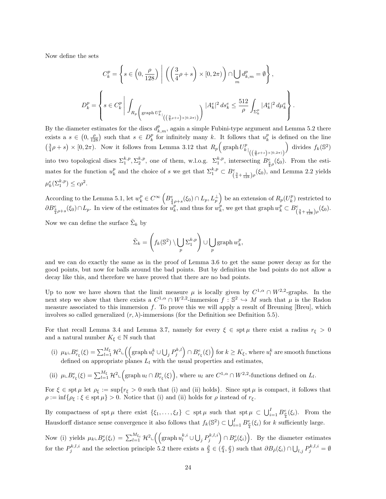Now define the sets

$$
C_k^p = \left\{ s \in \left(0, \frac{\rho}{128}\right) \middle| \left( \left(\frac{3}{4}\rho + s\right) \times [0, 2\pi) \right) \cap \bigcup_m d_{k,m}^p = \emptyset \right\},\
$$
  

$$
D_k^p = \left\{ s \in C_k^p \middle| \int_{R_p} \left( \operatorname{graph} U_{k}^p \middle|_{\left( \left(\frac{3}{4}\rho + s\right) \times [0, 2\pi) \right)} \right) \middle| A_k^e \middle|^{2} ds_k^e \leq \frac{512}{\rho} \int_{\Sigma_k^p} |A_k^e|^2 d\mu_k^e \right\}.
$$

By the diameter estimates for the discs  $d_{k,m}^p$ , again a simple Fubini-type argument and Lemma 5.2 there exists a  $s \in (0, \frac{\rho}{128})$  such that  $s \in D_k^p$  for infinitely many k. It follows that  $u_k^p$  is defined on the line  $\left(\frac{3}{4}\rho + s\right) \times [0, 2\pi)$ . Now it follows from Lemma 3.12 that  $R_p\left(\text{graph }U^p_{k}\right)_{\left(\left(\frac{3}{4}\rho + s\right) \times [0, 2\pi)\right)}$ ) divides  $f_k(\mathbb{S}^2)$ into two topological discs  $\Sigma_1^{k,p}, \Sigma_2^{k,p}$ , one of them, w.l.o.g.  $\Sigma_1^{k,p}$ , intersecting  $B_{\frac{3}{4}\rho}^e(\xi_0)$ . From the estimates for the function  $u_k^p$  and the choice of s we get that  $\Sigma_1^{k,p} \subset B^e_{\left(\frac{3}{4} + \frac{1}{128}\right)\rho}(\xi_0)$ , and Lemma 2.2 yields  $\mu_k^e(\Sigma_1^{k,p}) \leq c\rho^2.$ 

According to the Lemma 5.1, let  $w_k^p \in C^{\infty} igg( B_{\frac{3}{4}\rho+s}^e(\xi_0) \cap L_p, L_p^{\perp} \bigg)$  be an extension of  $R_p(U_k^p)$  restricted to  $\partial B_{\frac{3}{4}\rho+s}^e(\xi_0) \cap L_p$ . In view of the estimates for  $u_k^p$ , and thus for  $w_k^p$ , we get that graph  $w_k^p \subset B_{\left(\frac{3}{4} + \frac{1}{128}\right)\rho}^e(\xi_0)$ .

Now we can define the surface  $\tilde{\Sigma}_k$  by

$$
\tilde{\Sigma}_k = \left(f_k(\mathbb{S}^2) \setminus \bigcup_p \Sigma_1^{k,p}\right) \cup \bigcup_p \mathrm{graph}\, w_k^p,
$$

and we can do exactly the same as in the proof of Lemma 3.6 to get the same power decay as for the good points, but now for balls around the bad points. But by definition the bad points do not allow a decay like this, and therefore we have proved that there are no bad points.

Up to now we have shown that the limit measure  $\mu$  is locally given by  $C^{1,\alpha} \cap W^{2,2}$ -graphs. In the next step we show that there exists a  $C^{1,\alpha} \cap W^{2,2}$ -immersion  $f : \mathbb{S}^2 \hookrightarrow M$  such that  $\mu$  is the Radon measure associated to this immersion  $f$ . To prove this we will apply a result of Breuning [Breu], which involves so called generalized  $(r, \lambda)$ -immersions (for the Definition see Definition 5.5).

For that recall Lemma 3.4 and Lemma 3.7, namely for every  $\xi \in \text{spt } \mu$  there exist a radius  $r_{\xi} > 0$ and a natural number  $K_{\xi} \in \mathbb{N}$  such that

- (i)  $\mu_k \text{L} B_{r_{\xi}}^e(\xi) = \sum_{l=1}^{M_{\xi}} \mathcal{H}^2 \text{L} \left( \left( \text{graph } u_l^k \cup \bigcup_j P_j^{k,l} \right) \cap B_{r_{\xi}}^e(\xi) \right) \text{ for } k \geq K_{\xi}, \text{ where } u_l^k \text{ are smooth functions}$ defined on appropriate planes  $L_l$  with the usual properties and estimates,
- (ii)  $\mu \mathcal{L} B_{r_{\xi}}^e(\xi) = \sum_{l=1}^{M_{\xi}} \mathcal{H}^2 \mathcal{L} \left( \text{graph } u_l \cap B_{r_{\xi}}^e(\xi) \right)$ , where  $u_l$  are  $C^{1,\alpha} \cap W^{2,2}$ -functions defined on  $L_l$ .

For  $\xi \in \operatorname{spt} \mu$  let  $\rho_{\xi} := \sup\{r_{\xi} > 0 \text{ such that (i) and (ii) holds}\}.$  Since  $\operatorname{spt} \mu$  is compact, it follows that  $\rho := \inf \{ \rho_{\xi} : \xi \in \operatorname{spt} \mu \} > 0.$  Notice that (i) and (ii) holds for  $\rho$  instead of  $r_{\xi}$ .

By compactness of spt  $\mu$  there exist  $\{\xi_1,\ldots,\xi_I\} \subset \text{spt } \mu$  such that  $\text{spt } \mu \subset \bigcup_{i=1}^I B^e_{\frac{\rho}{4}}(\xi_i)$ . From the Hausdorff distance sense convergence it also follows that  $f_k(\mathbb{S}^2) \subset \bigcup_{i=1}^I B^e_{\frac{\rho}{4}}(\xi_i)$  for k sufficiently large.

Now (i) yields  $\mu_k \llcorner B^e_\rho(\xi_i) = \sum_{l=1}^{M_{\xi_i}} \mathcal{H}^2 \llcorner \left( \left( \text{graph } u_l^{k,i} \cup \bigcup_j P_j^{k,l,i} \right) \cap B^e_\rho(\xi_i) \right)$ . By the diameter estimates for the  $P_j^{k,l,i}$  and the selection principle 5.2 there exists a  $\frac{\bar{p}}{2} \in (\frac{\rho}{4}, \frac{\rho}{2})$  such that  $\partial B_{\bar{\rho}}(\xi_i) \cap \bigcup_{l,j} P_j^{k,l,i} = \emptyset$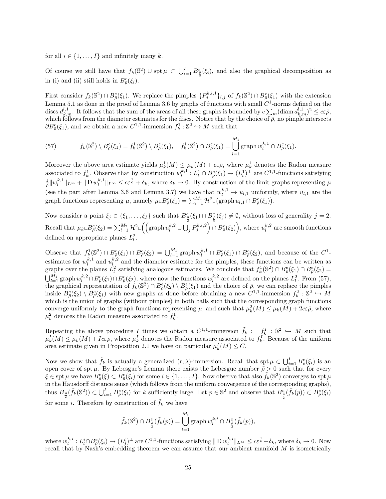for all  $i \in \{1, \ldots, I\}$  and infinitely many k.

Of course we still have that  $f_k(\mathbb{S}^2) \cup \operatorname{spt} \mu \subset \bigcup_{i=1}^I B_{\frac{\bar{\rho}}{2}}^e(\xi_i)$ , and also the graphical decomposition as in (i) and (ii) still holds in  $B^e_{\bar{\rho}}(\xi_i)$ .

First consider  $f_k(\mathbb{S}^2) \cap B^e_{\bar{\rho}}(\xi_1)$ . We replace the pimples  $\{P_j^{k,l,1}\}_{l,j}$  of  $f_k(\mathbb{S}^2) \cap B^e_{\bar{\rho}}(\xi_1)$  with the extension Lemma 5.1 as done in the proof of Lemma 3.6 by graphs of functions with small  $C^1$ -norms defined on the discs  $d_{k,m}^{l,1}$ . It follows that the sum of the areas of all these graphs is bounded by  $c \sum_m (\text{diam } d_{k,m}^{l,1})^2 \leq c \varepsilon \bar{\rho}$ , which follows from the diameter estimates for the discs. Notice that by the choice of  $\overline{\rho}$ , no pimple intersects  $\partial B^e_{\overline{\rho}}(\xi_1)$ , and we obtain a new  $C^{1,1}$ -immersion  $f_k^1 : \mathbb{S}^2 \hookrightarrow M$  such that

(57) 
$$
f_k(\mathbb{S}^2) \setminus B^e_{\bar{\rho}}(\xi_1) = f_k^1(\mathbb{S}^2) \setminus B^e_{\bar{\rho}}(\xi_1), \quad f_k^1(\mathbb{S}^2) \cap B^e_{\bar{\rho}}(\xi_1) = \bigcup_{l=1}^{M_1} \text{graph } w_l^{k,1} \cap B^e_{\bar{\rho}}(\xi_1).
$$

Moreover the above area estimate yields  $\mu_k^1(M) \leq \mu_k(M) + c\varepsilon \bar{\rho}$ , where  $\mu_k^1$  denotes the Radon measure associated to  $f_k^1$ . Observe that by construction  $w_l^{k,1}: L_l^1 \cap B^e_{\overline{\rho}}(\xi_1) \to (L_l^1)^{\perp}$  are  $C^{1,1}$ -functions satisfying  $\frac{1}{\rho} \|w_l^{k,1}\|_{L^{\infty}} + \|\mathcal{D} w_l^{k,1}\|_{L^{\infty}} \leq c\varepsilon^{\frac{1}{6}} + \delta_k$ , where  $\delta_k \to 0$ . By construction of the limit graphs representing  $\mu$ (see the part after Lemma 3.6 and Lemma 3.7) we have that  $w_l^{k,1} \to u_{l,1}$  uniformly, where  $u_{l,1}$  are the graph functions representing  $\mu$ , namely  $\mu \llcorner B^e_{\bar{\rho}}(\xi_1) = \sum_{l=1}^{M_1} \mathcal{H}^2 \llcorner (\text{graph } u_{l,1} \cap B^e_{\bar{\rho}}(\xi_1)).$ 

Now consider a point  $\xi_j \in \{\xi_1,\ldots,\xi_I\}$  such that  $B_{\frac{\bar{\rho}}{2}}^e(\xi_1) \cap B_{\frac{\bar{\rho}}{2}}^e(\xi_j) \neq \emptyset$ , without loss of generality  $j=2$ .  $\text{Recall that } \mu_k \llcorner B^e_{\bar{\rho}}(\xi_2) = \sum_{l=1}^{M_2} \mathcal{H}^2 \llcorner \left( \left( \text{graph } u_l^{k,2} \cup \bigcup_j P_j^{k,l,2} \right) \cap B^e_{\bar{\rho}}(\xi_2) \right), \text{where } u_l^{k,2} \text{ are smooth functions}$ defined on appropriate planes  $L_l^2$ .

Observe that  $f_k^1(\mathbb{S}^2) \cap B_{\overline{\rho}}^e(\xi_1) \cap B_{\overline{\rho}}^e(\xi_2) = \bigcup_{l=1}^{M_1} \text{graph } w_l^{k,1} \cap B_{\overline{\rho}}^e(\xi_1) \cap B_{\overline{\rho}}^e(\xi_2)$ , and because of the  $C^1$ estimates for  $w_l^{k,1}$  and  $u_l^{k,2}$  and the diameter estimate for the pimples, these functions can be written as graphs over the planes  $\hat{L}_l^2$  satisfying analogous estimates. We conclude that  $f_k^1(\mathbb{S}^2) \cap B_{\bar{\rho}}^e(\xi_1) \cap B_{\bar{\rho}}^e(\xi_2) =$  $\bigcup_{l=1}^{M_1}$  graph  $w_l^{k,2} \cap B_{\bar{\rho}}^e(\xi_1) \cap B_{\bar{\rho}}^e(\xi_2)$ , where now the functions  $w_l^{k,2}$  are defined on the planes  $L_l^2$ . From (57), the graphical representation of  $f_k(\mathbb{S}^2) \cap B^e_{\overline{\rho}}(\xi_2) \setminus B^e_{\overline{\rho}}(\xi_1)$  and the choice of  $\overline{\rho}$ , we can replace the pimples inside  $B_{\bar{\rho}}^e(\xi_2) \setminus B_{\bar{\rho}}^e(\xi_1)$  with new graphs as done before obtaining a new  $C^{1,1}$ -immersion  $f_k^2 : \mathbb{S}^2 \hookrightarrow M$ which is the union of graphs (without pimples) in both balls such that the corresponding graph functions converge uniformly to the graph functions representing  $\mu$ , and such that  $\mu_k^2(M) \leq \mu_k(M) + 2c\epsilon\bar{\rho}$ , where  $\mu_k^2$  denotes the Radon measure associated to  $f_k^1$ .

Repeating the above procedure I times we obtain a  $C^{1,1}$ -immersion  $\tilde{f}_k := f_k^I : \mathbb{S}^2 \hookrightarrow M$  such that  $\mu_k^I(M) \leq \mu_k(M) + Ic\varepsilon\bar{\rho}$ , where  $\mu_k^I$  denotes the Radon measure associated to  $f_k^I$ . Because of the uniform area estimate given in Proposition 2.1 we have on particular  $\mu_k^I(M) \leq C$ .

Now we show that  $\tilde{f}_k$  is actually a generalized  $(r, \lambda)$ -immersion. Recall that spt  $\mu \subset \bigcup_{i=1}^I B_{\overline{\rho}}^e(\xi_i)$  is an open cover of spt  $\mu$ . By Lebesgue's Lemma there exists the Lebesgue number  $\tilde{\rho} > 0$  such that for every  $\xi \in \operatorname{spt} \mu$  we have  $B^e_{\tilde{\rho}}(\xi) \subset B^e_{\bar{\rho}}(\xi_i)$  for some  $i \in \{1, \ldots, I\}$ . Now observe that also  $\tilde{f}_k(\mathbb{S}^2)$  converges to spt  $\mu$ in the Hausdorff distance sense (which follows from the uniform convergence of the corresponding graphs), thus  $B_{\frac{\tilde{\rho}}{2}}(\tilde{f}_k(\mathbb{S}^2)) \subset \bigcup_{i=1}^l B_{\tilde{\rho}}^e(\xi_i)$  for k sufficiently large. Let  $p \in \mathbb{S}^2$  and observe that  $B_{\frac{\tilde{\rho}}{2}}^e(\tilde{f}_k(p)) \subset B_{\tilde{\rho}}^e(\xi_i)$ 2 for some *i*. Therefore by construction of  $\tilde{f}_k$  we have

$$
\tilde{f}_k(\mathbb{S}^2)\cap B^e_{\frac{\tilde{\rho}}{2}}(\tilde{f}_k(p))=\bigcup_{l=1}^{M_i}\operatorname{graph} w_l^{k,i}\cap B^e_{\frac{\tilde{\rho}}{2}}(\tilde{f}_k(p)),
$$

where  $w_l^{k,i}: L^i_l \cap B^e_{\overline{\rho}}(\xi_i) \to (L^l_j)^{\perp}$  are  $C^{1,1}$ -functions satisfying  $\| D w_l^{k,i} \|_{L^{\infty}} \leq c \varepsilon^{\frac{1}{6}} + \delta_k$ , where  $\delta_k \to 0$ . Now recall that by Nash's embedding theorem we can assume that our ambient manifold M is isometrically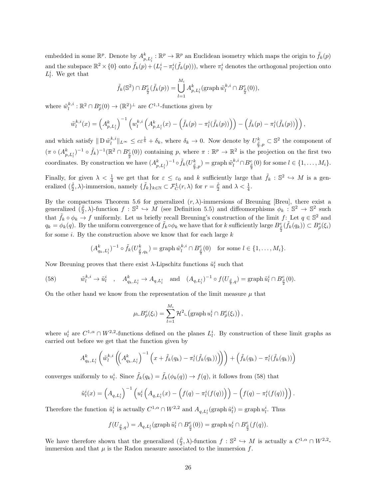embedded in some  $\mathbb{R}^p$ . Denote by  $A^k_{p,L^i_l} : \mathbb{R}^p \to \mathbb{R}^p$  an Euclidean isometry which maps the origin to  $\tilde{f}_k(p)$ and the subspace  $\mathbb{R}^2 \times \{0\}$  onto  $\tilde{f}_k(p) + (L_l^i - \pi_l^i(\tilde{f}_k(p)))$ , where  $\pi_l^i$  denotes the orthogonal projection onto  $L_l^i$ . We get that

$$
\tilde{f}_k(\mathbb{S}^2) \cap B^e_{\frac{\tilde{\rho}}{2}}(\tilde{f}_k(p)) = \bigcup_{l=1}^{M_i} A^k_{p, L^i_l}(\text{graph } \tilde{w}_l^{k, i} \cap B^e_{\frac{\tilde{\rho}}{2}}(0)),
$$

where  $\tilde{w}_l^{k,i} : \mathbb{R}^2 \cap B_{\bar{\rho}}^e(0) \to (\mathbb{R}^2)^{\perp}$  are  $C^{1,1}$ -functions given by

$$
\tilde{w}_l^{k,i}(x) = \left(A_{p,L_l^i}^k\right)^{-1} \left(w_l^{k,i}\left(A_{p,L_l^i}^k(x) - \left(\tilde{f}_k(p) - \pi_l^i(\tilde{f}_k(p))\right)\right) - \left(\tilde{f}_k(p) - \pi_l^i(\tilde{f}_k(p))\right)\right),
$$

and which satisfy  $\| D \tilde{w}_l^{k,i} \|_{L^{\infty}} \leq c \varepsilon^{\frac{1}{6}} + \delta_k$ , where  $\delta_k \to 0$ . Now denote by  $U_{\frac{\tilde{\rho}}{2},p}^k \subset \mathbb{S}^2$  the component of  $(\pi \circ (A_{p,L_i^i}^k)^{-1} \circ \tilde{f}_k)^{-1}(\mathbb{R}^2 \cap B_{\frac{\bar{\rho}}{2}}^e(0))$  containing p, where  $\pi : \mathbb{R}^p \to \mathbb{R}^2$  is the projection on the first two coordinates. By construction we have  $(A_{p,L_l^i}^k)^{-1} \circ \tilde{f}_k(U_{\frac{\tilde{\rho}}{2},p}^k) = \text{graph } \tilde{w}_l^{k,i} \cap B_{\frac{\tilde{\rho}}{2}}^e(0)$  for some  $l \in \{1,\ldots,M_i\}$ .

Finally, for given  $\lambda < \frac{1}{4}$  we get that for  $\varepsilon \leq \varepsilon_0$  and k sufficiently large that  $\tilde{f}_k : \mathbb{S}^2 \hookrightarrow M$  is a generalized  $(\frac{\tilde{\rho}}{2}, \lambda)$ -immersion, namely  $\{\tilde{f}_k\}_{k \in \mathbb{N}} \subset \mathcal{F}_C^1(r, \lambda)$  for  $r = \frac{\tilde{\rho}}{2}$  and  $\lambda < \frac{1}{4}$ .

By the compactness Theorem 5.6 for generalized  $(r, \lambda)$ -immersions of Breuning [Breu], there exist a generalized  $(\frac{\tilde{\rho}}{2}, \lambda)$ -function  $f : \mathbb{S}^2 \hookrightarrow M$  (see Definition 5.5) and diffeomorphisms  $\phi_k : \mathbb{S}^2 \to \mathbb{S}^2$  such that  $\tilde{f}_k \circ \phi_k \to f$  uniformly. Let us briefly recall Breuning's construction of the limit f: Let  $q \in \mathbb{S}^2$  and  $q_k = \phi_k(q)$ . By the uniform convergence of  $\tilde{f}_k \circ \phi_k$  we have that for k sufficiently large  $B_{\frac{\tilde{\rho}}{2}}(\tilde{f}_k(q_k)) \subset B_{\tilde{\rho}}(\xi_i)$ for some  $i$ . By the construction above we know that for each large  $k$ 

$$
(A_{q_k,L_l^i}^k)^{-1} \circ \tilde{f}_k(U_{\frac{\tilde{\rho}}{2},q_k}^k) = \operatorname{graph} \tilde{w}_l^{k,i} \cap B_{\frac{\tilde{\rho}}{2}}^e(0) \quad \text{for some } l \in \{1,\ldots,M_i\}.
$$

Now Breuning proves that there exist  $\lambda$ -Lipschitz functions  $\tilde{u}_l^i$  such that

(58) 
$$
\tilde{w}_l^{k,i} \to \tilde{u}_l^i
$$
,  $A_{q_k, L_l^i}^k \to A_{q, L_l^i}$  and  $(A_{q, L_l^i})^{-1} \circ f(U_{\frac{\tilde{\rho}}{2}, q}) = \text{graph}\,\tilde{u}_l^i \cap B_{\frac{\tilde{\rho}}{2}}^e(0).$ 

On the other hand we know from the representation of the limit measure  $\mu$  that

$$
\mu \llcorner B_{\bar{\rho}}^e(\xi_i) = \sum_{l=1}^{M_i} \mathcal{H}^2 \llcorner (\text{graph } u_l^i \cap B_{\bar{\rho}}^e(\xi_i)),
$$

where  $u_l^i$  are  $C^{1,\alpha} \cap W^{2,2}$ -functions defined on the planes  $L_l^i$ . By construction of these limit graphs as carried out before we get that the function given by

$$
A_{q_k,L_l^i}^k \left( \tilde{w}_l^{k,i} \left( \left( A_{q_k,L_l^i}^k \right)^{-1} \left( x + \tilde{f}_k(q_k) - \pi_l^i(\tilde{f}_k(q_k)) \right) \right) \right) + \left( \tilde{f}_k(q_k) - \pi_l^i(\tilde{f}_k(q_k)) \right)
$$

converges uniformly to  $u_l^i$ . Since  $\tilde{f}_k(q_k) = \tilde{f}_k(\phi_k(q)) \to f(q)$ , it follows from (58) that

$$
\tilde{u}_l^i(x) = \left(A_{q,L_l^i}\right)^{-1} \left(u_l^i\left(A_{q,L_l^i}(x) - \left(f(q) - \pi_l^i(f(q))\right)\right) - \left(f(q) - \pi_l^i(f(q))\right)\right).
$$

Therefore the function  $\tilde{u}_l^i$  is actually  $C^{1,\alpha} \cap W^{2,2}$  and  $A_{q,L_l^i}(\text{graph } \tilde{u}_l^i) = \text{graph } u_l^i$ . Thus

$$
f(U_{\frac{\tilde{\rho}}{2},q})=A_{q,L^i_l}(\mathrm{graph}\,\tilde{u}^i_l\cap B^e_{\frac{\tilde{\rho}}{2}}(0))=\mathrm{graph}\,u^i_l\cap B^e_{\frac{\tilde{\rho}}{2}}(f(q)).
$$

We have therefore shown that the generalized  $(\frac{\tilde{\rho}}{2}, \lambda)$ -function  $f : \mathbb{S}^2 \hookrightarrow M$  is actually a  $C^{1,\alpha} \cap W^{2,2}$ immersion and that  $\mu$  is the Radon measure associated to the immersion  $f$ .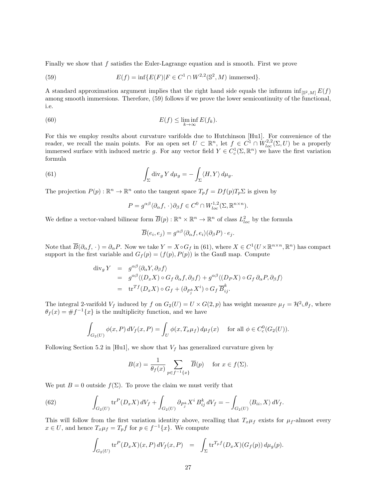Finally we show that f satisfies the Euler-Lagrange equation and is smooth. First we prove

(59) 
$$
E(f) = \inf \{ E(F) | F \in C^{1} \cap W^{2,2}(\mathbb{S}^{2}, M) \text{ immersed} \}.
$$

A standard approximation argument implies that the right hand side equals the infimum  $\inf_{\mathbb{S}^2,M} E(f)$ among smooth immersions. Therefore, (59) follows if we prove the lower semicontinuity of the functional, i.e.

(60) 
$$
E(f) \leq \liminf_{k \to \infty} E(f_k).
$$

For this we employ results about curvature varifolds due to Hutchinson [Hu1]. For convenience of the reader, we recall the main points. For an open set  $U \subset \mathbb{R}^n$ , let  $f \in C^1 \cap W^{2,2}_{loc}(\Sigma,U)$  be a properly immersed surface with induced metric g. For any vector field  $Y \in C_c^1(\Sigma, \mathbb{R}^n)$  we have the first variation formula

(61) 
$$
\int_{\Sigma} \operatorname{div}_g Y d\mu_g = - \int_{\Sigma} \langle H, Y \rangle d\mu_g.
$$

The projection  $P(p): \mathbb{R}^n \to \mathbb{R}^n$  onto the tangent space  $T_p f = Df(p)T_p \Sigma$  is given by

$$
P = g^{\alpha\beta} \langle \partial_{\alpha} f, \cdot \rangle \partial_{\beta} f \in C^0 \cap W^{1,2}_{loc}(\Sigma, \mathbb{R}^{n \times n}).
$$

We define a vector-valued bilinear form  $\overline{B}(p)$ :  $\mathbb{R}^n \times \mathbb{R}^n \to \mathbb{R}^n$  of class  $L^2_{loc}$  by the formula

$$
\overline{B}(e_i, e_j) = g^{\alpha \beta} \langle \partial_{\alpha} f, e_i \rangle (\partial_{\beta} P) \cdot e_j.
$$

Note that  $\overline{B}(\partial_{\alpha} f, \cdot) = \partial_{\alpha} P$ . Now we take  $Y = X \circ G_f$  in (61), where  $X \in C^1(U \times \mathbb{R}^{n \times n}, \mathbb{R}^n)$  has compact support in the first variable and  $G_f(p) = (f(p), P(p))$  is the Gauß map. Compute

$$
\begin{array}{rcl}\n\text{div}_g Y & = & g^{\alpha\beta} \langle \partial_\alpha Y, \partial_\beta f \rangle \\
& = & g^{\alpha\beta} \langle (D_x X) \circ G_f \partial_\alpha f, \partial_\beta f \rangle + g^{\alpha\beta} \langle (D_P X) \circ G_f \partial_\alpha P, \partial_\beta f \rangle \\
& = & \text{tr}^T f(D_x X) \circ G_f + (\partial_{P^k_j} X^i) \circ G_f \overline{B}^k_{ij}.\n\end{array}
$$

The integral 2-varifold  $V_f$  induced by f on  $G_2(U) = U \times G(2, p)$  has weight measure  $\mu_f = H^2 \Box \theta_f$ , where  $\theta_f(x) = \#f^{-1}\{x\}$  is the multiplicity function, and we have

$$
\int_{G_2(U)} \phi(x, P) dV_f(x, P) = \int_U \phi(x, T_x \mu_f) d\mu_f(x) \quad \text{for all } \phi \in C_c^0(G_2(U)).
$$

Following Section 5.2 in [Hu1], we show that  $V_f$  has generalized curvature given by

$$
B(x) = \frac{1}{\theta_f(x)} \sum_{p \in f^{-1}\{x\}} \overline{B}(p) \quad \text{ for } x \in f(\Sigma).
$$

We put  $B = 0$  outside  $f(\Sigma)$ . To prove the claim we must verify that

(62) 
$$
\int_{G_2(U)} \text{tr}^P(D_x X) \, dV_f + \int_{G_2(U)} \partial_{P_j^k} X^i \, B_{ij}^k \, dV_f = - \int_{G_2(U)} \langle B_{ii}, X \rangle \, dV_f.
$$

This will follow from the first variation identity above, recalling that  $T_x\mu_f$  exists for  $\mu_f$ -almost every  $x \in U$ , and hence  $T_x \mu_f = T_p f$  for  $p \in f^{-1}{x}$ . We compute

$$
\int_{G_2(U)} \operatorname{tr}^P(D_x X)(x, P) dV_f(x, P) = \int_{\Sigma} \operatorname{tr}^{T_p f}(D_x X)(G_f(p)) d\mu_g(p).
$$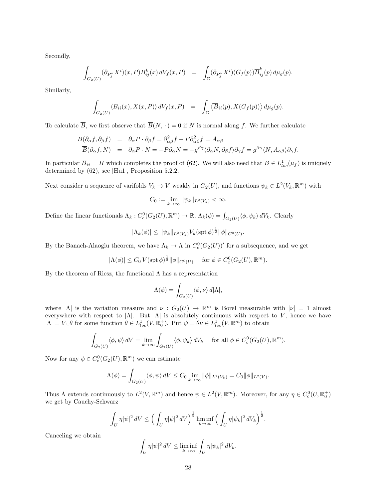Secondly,

$$
\int_{G_2(U)} (\partial_{P_j^k} X^i)(x,P) B^k_{ij}(x) dV_f(x,P) = \int_{\Sigma} (\partial_{P_j^k} X^i)(G_f(p)) \overline{B}^k_{ij}(p) d\mu_g(p).
$$

Similarly,

$$
\int_{G_2(U)} \langle B_{ii}(x), X(x, P) \rangle dV_f(x, P) = \int_{\Sigma} \langle \overline{B}_{ii}(p), X(G_f(p)) \rangle d\mu_g(p).
$$

To calculate  $\overline{B}$ , we first observe that  $\overline{B}(N, \cdot) = 0$  if N is normal along f. We further calculate

$$
\begin{array}{rcl}\n\overline{B}(\partial_{\alpha}f,\partial_{\beta}f) & = & \partial_{\alpha}P \cdot \partial_{\beta}f = \partial_{\alpha\beta}^{2}f - P \partial_{\alpha\beta}^{2}f = A_{\alpha\beta} \\
\overline{B}(\partial_{\alpha}f,N) & = & \partial_{\alpha}P \cdot N = -P \partial_{\alpha}N = -g^{\beta\gamma}\langle \partial_{\alpha}N, \partial_{\beta}f \rangle \partial_{\gamma}f = g^{\beta\gamma}\langle N, A_{\alpha\beta} \rangle \partial_{\gamma}f.\n\end{array}
$$

In particular  $\overline{B}_{ii} = H$  which completes the proof of (62). We will also need that  $B \in L^1_{loc}(\mu_f)$  is uniquely determined by (62), see [Hu1], Proposition 5.2.2.

Next consider a sequence of varifolds  $V_k \to V$  weakly in  $G_2(U)$ , and functions  $\psi_k \in L^2(V_k, \mathbb{R}^m)$  with

$$
C_0 := \lim_{k \to \infty} \|\psi_k\|_{L^2(V_k)} < \infty.
$$

Define the linear functionals  $\Lambda_k : C_c^0(G_2(U), \mathbb{R}^m) \to \mathbb{R}, \Lambda_k(\phi) = \int_{G_2(U)} \langle \phi, \psi_k \rangle dV_k$ . Clearly

$$
|\Lambda_k(\phi)| \leq \|\psi_k\|_{L^2(V_k)} V_k(\operatorname{spt} \phi)^{\frac{1}{2}} \|\phi\|_{C^0(U)}.
$$

By the Banach-Alaoglu theorem, we have  $\Lambda_k \to \Lambda$  in  $C_c^0(G_2(U))'$  for a subsequence, and we get

$$
|\Lambda(\phi)| \leq C_0 V(\text{spt}\,\phi)^{\frac{1}{2}} ||\phi||_{C^0(U)} \quad \text{ for } \phi \in C_c^0(G_2(U), \mathbb{R}^m).
$$

By the theorem of Riesz, the functional  $\Lambda$  has a representation

$$
\Lambda(\phi) = \int_{G_2(U)} \langle \phi, \nu \rangle d|\Lambda|,
$$

where  $|\Lambda|$  is the variation measure and  $\nu : G_2(U) \to \mathbb{R}^m$  is Borel measurable with  $|\nu| = 1$  almost everywhere with respect to  $|\Lambda|$ . But  $|\Lambda|$  is absolutely continuous with respect to V, hence we have  $|\Lambda| = V \cup \theta$  for some function  $\theta \in L^1_{loc}(V, \mathbb{R}^+_0)$ . Put  $\psi = \theta \nu \in L^1_{loc}(V, \mathbb{R}^m)$  to obtain

$$
\int_{G_2(U)} \langle \phi, \psi \rangle dV = \lim_{k \to \infty} \int_{G_2(U)} \langle \phi, \psi_k \rangle dV_k \quad \text{ for all } \phi \in C^0_c(G_2(U), \mathbb{R}^m).
$$

Now for any  $\phi \in C_c^0(G_2(U), \mathbb{R}^m)$  we can estimate

$$
\Lambda(\phi) = \int_{G_2(U)} \langle \phi, \psi \rangle dV \le C_0 \lim_{k \to \infty} ||\phi||_{L^2(V_k)} = C_0 ||\phi||_{L^2(V)}.
$$

Thus  $\Lambda$  extends continuously to  $L^2(V,\mathbb{R}^m)$  and hence  $\psi \in L^2(V,\mathbb{R}^m)$ . Moreover, for any  $\eta \in C_c^0(U,\mathbb{R}_0^+)$ we get by Cauchy-Schwarz

$$
\int_U \eta |\psi|^2 \, dV \le \Big(\int_U \eta |\psi|^2 \, dV\Big)^{\frac{1}{2}} \liminf_{k \to \infty} \Big(\int_U \eta |\psi_k|^2 \, dV_k\Big)^{\frac{1}{2}}.
$$

Canceling we obtain

$$
\int_U \eta |\psi|^2 \, dV \le \liminf_{k \to \infty} \int_U \eta |\psi_k|^2 \, dV_k.
$$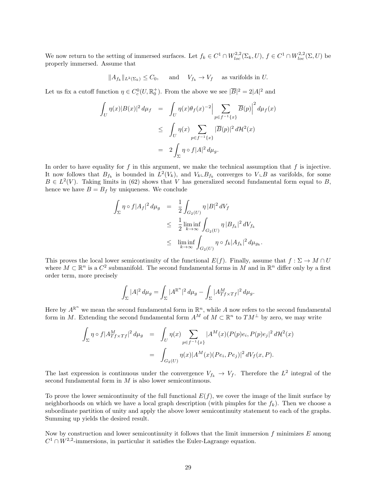We now return to the setting of immersed surfaces. Let  $f_k \in C^1 \cap W_{loc}^{2,2}(\Sigma_k, U), f \in C^1 \cap W_{loc}^{2,2}(\Sigma, U)$  be properly immersed. Assume that

$$
||A_{f_k}||_{L^2(\Sigma_k)} \leq C_0
$$
, and  $V_{f_k} \to V_f$  as variables in U.

Let us fix a cutoff function  $\eta \in C_c^0(U, \mathbb{R}^+_0)$ . From the above we see  $|\overline{B}|^2 = 2|A|^2$  and

$$
\int_{U} \eta(x)|B(x)|^2 d\mu_f = \int_{U} \eta(x)\theta_f(x)^{-2} \Big| \sum_{p \in f^{-1}\{x\}} \overline{B}(p) \Big|^2 d\mu_f(x)
$$
  
\n
$$
\leq \int_{U} \eta(x) \sum_{p \in f^{-1}\{x\}} |\overline{B}(p)|^2 d\mathcal{H}^2(x)
$$
  
\n
$$
= 2 \int_{\Sigma} \eta \circ f|A|^2 d\mu_g.
$$

In order to have equality for  $f$  in this argument, we make the technical assumption that  $f$  is injective. It now follows that  $B_{f_k}$  is bounded in  $L^2(V_k)$ , and  $V_k \_B_{f_k}$  converges to  $V \_B$  as varifolds, for some  $B \in L^2(V)$ . Taking limits in (62) shows that V has generalized second fundamental form equal to B, hence we have  $B = B_f$  by uniqueness. We conclude

$$
\int_{\Sigma} \eta \circ f |A_f|^2 d\mu_g = \frac{1}{2} \int_{G_2(U)} \eta |B|^2 dV_f
$$
  
\n
$$
\leq \frac{1}{2} \liminf_{k \to \infty} \int_{G_2(U)} \eta |B_{f_k}|^2 dV_{f_k}
$$
  
\n
$$
\leq \liminf_{k \to \infty} \int_{G_2(U)} \eta \circ f_k |A_{f_k}|^2 d\mu_{g_k}.
$$

This proves the local lower semicontinuity of the functional  $E(f)$ . Finally, assume that  $f : \Sigma \to M \cap U$ where  $M \subset \mathbb{R}^n$  is a  $C^2$  submanifold. The second fundamental forms in M and in  $\mathbb{R}^n$  differ only by a first order term, more precisely

$$
\int_{\Sigma} |A|^2 \, d\mu_g = \int_{\Sigma} |A^{\mathbb{R}^n}|^2 \, d\mu_g - \int_{\Sigma} |A^M_{Tf \times Tf}|^2 \, d\mu_g.
$$

Here by  $A^{\mathbb{R}^n}$  we mean the second fundamental form in  $\mathbb{R}^n$ , while A now refers to the second fundamental form in M. Extending the second fundamental form  $A^M$  of  $M \subset \mathbb{R}^n$  to  $TM^{\perp}$  by zero, we may write

$$
\int_{\Sigma} \eta \circ f |A^{M}_{Tf \times Tf}|^{2} d\mu_{g} = \int_{U} \eta(x) \sum_{p \in f^{-1}\{x\}} |A^{M}(x)(P(p)e_{i}, P(p)e_{j}|^{2} d\mathcal{H}^{2}(x))
$$

$$
= \int_{G_{2}(U)} \eta(x) |A^{M}(x)(Pe_{i}, Pe_{j})|^{2} dV_{f}(x, P).
$$

The last expression is continuous under the convergence  $V_{f_k} \to V_f$ . Therefore the  $L^2$  integral of the second fundamental form in M is also lower semicontinuous.

To prove the lower semicontinuity of the full functional  $E(f)$ , we cover the image of the limit surface by neighborhoods on which we have a local graph description (with pimples for the  $f_k$ ). Then we choose a subordinate partition of unity and apply the above lower semicontinuity statement to each of the graphs. Summing up yields the desired result.

Now by construction and lower semicontinuity it follows that the limit immersion  $f$  minimizes  $E$  among  $C^1 \cap W^{2,2}$ -immersions, in particular it satisfies the Euler-Lagrange equation.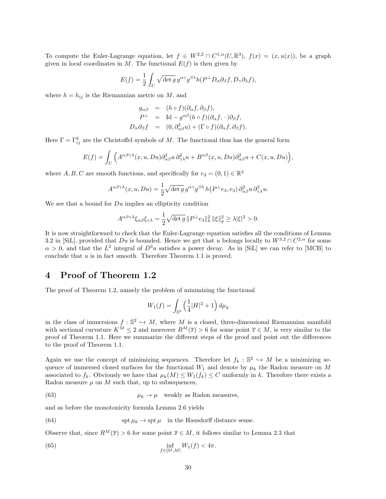To compute the Euler-Lagrange equation, let  $f \in W^{2,2} \cap C^{1,\alpha}(U,\mathbb{R}^3)$ ,  $f(x) = (x,u(x))$ , be a graph given in local coordinates in M. The functional  $E(f)$  is then given by

$$
E(f) = \frac{1}{2} \int_U \sqrt{\det g} g^{\alpha \gamma} g^{\beta \lambda} h(P^{\perp} D_{\alpha} \partial_{\beta} f, D_{\gamma} \partial_{\lambda} f),
$$

where  $h = h_{ij}$  is the Riemannian metric on M, and

$$
g_{\alpha\beta} = (h \circ f)(\partial_{\alpha}f, \partial_{\beta}f),
$$
  
\n
$$
P^{\perp} = \text{Id} - g^{\alpha\beta}(h \circ f)(\partial_{\alpha}f, \cdot) \partial_{\beta}f,
$$
  
\n
$$
D_{\alpha}\partial_{\beta}f = (0, \partial_{\alpha\beta}^{2}u) + (\Gamma \circ f)(\partial_{\alpha}f, \partial_{\beta}f).
$$

Here  $\Gamma = \Gamma_{ij}^k$  are the Christoffel symbols of M. The functional thus has the general form

$$
E(f) = \int_{U} \Big( A^{\alpha\beta\gamma\lambda}(x, u, Du)\partial^2_{\alpha\beta}u\,\partial^2_{\gamma\lambda}u + B^{\alpha\beta}(x, u, Du)\partial^2_{\alpha\beta}u + C(x, u, Du)\Big),
$$

where  $A, B, C$  are smooth functions, and specifically for  $e_3 = (0, 1) \in \mathbb{R}^3$ 

$$
A^{\alpha\beta\gamma\lambda}(x, u, Du) = \frac{1}{2} \sqrt{\det g} g^{\alpha\gamma} g^{\beta\lambda} h(P^{\perp}e_3, e_3) \partial^2_{\alpha\beta} u \partial^2_{\gamma\lambda} u.
$$

We see that a bound for  $Du$  implies an ellipticity condition

$$
A^{\alpha\beta\gamma\lambda}\xi_{\alpha\beta}\xi_{\gamma\lambda} = \frac{1}{2}\sqrt{\det g} \|P^{\perp}e_3\|_h^2 \|\xi\|_g^2 \ge \lambda |\xi|^2 > 0.
$$

It is now straightforward to check that the Euler-Lagrange equation satisfies all the conditions of Lemma 3.2 in [SiL], provided that  $Du$  is bounded. Hence we get that u belongs locally to  $W^{3,2} \cap C^{2,\alpha}$  for some  $\alpha > 0$ , and that the  $L^2$  integral of  $D^3u$  satisfies a power decay. As in [SiL] we can refer to [MCB] to conclude that  $u$  is in fact smooth. Therefore Theorem 1.1 is proved.

### 4 Proof of Theorem 1.2

The proof of Theorem 1.2, namely the problem of minimizing the functional

$$
W_1(f) = \int_{\mathbb{S}^2} \left(\frac{1}{4}|H|^2 + 1\right)d\mu_g
$$

in the class of immersions  $f : \mathbb{S}^2 \hookrightarrow M$ , where M is a closed, three-dimensional Riemannian manifold with sectional curvature  $K^M \leq 2$  and moreover  $R^M(\overline{x}) > 6$  for some point  $\overline{x} \in M$ , is very similar to the proof of Theorem 1.1. Here we summarize the different steps of the proof and point out the differences to the proof of Theorem 1.1.

Again we use the concept of minimizing sequences. Therefore let  $f_k : \mathbb{S}^2 \hookrightarrow M$  be a minimizing sequence of immersed closed surfaces for the functional  $W_1$  and denote by  $\mu_k$  the Radon measure on M associated to  $f_k$ . Obviously we have that  $\mu_k(M) \leq W_1(f_k) \leq C$  uniformly in k. Therefore there exists a Radon measure  $\mu$  on  $M$  such that, up to subsequences,

(63) 
$$
\mu_k \to \mu \quad \text{weakly as Radon measures,}
$$

and as before the monotonicity formula Lemma 2.6 yields

(64) 
$$
\operatorname{spt} \mu_k \to \operatorname{spt} \mu \quad \text{in the Hausdorff distance sense.}
$$

Observe that, since  $R^M(\overline{x}) > 6$  for some point  $\overline{x} \in M$ , it follows similar to Lemma 2.3 that

(65) 
$$
\inf_{f \in [\mathbb{S}^2, M]} W_1(f) < 4\pi.
$$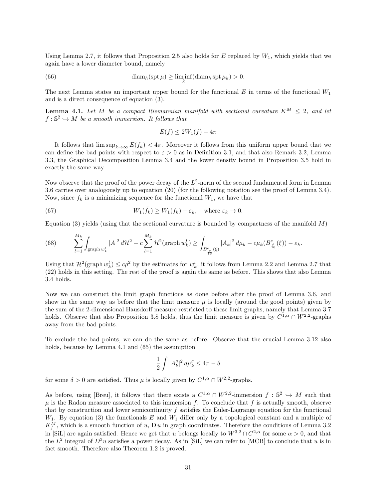Using Lemma 2.7, it follows that Proposition 2.5 also holds for  $E$  replaced by  $W_1$ , which yields that we again have a lower diameter bound, namely

(66) 
$$
\dim_h(\operatorname{spt} \mu) \ge \liminf_k(\operatorname{diam}_h \operatorname{spt} \mu_k) > 0.
$$

The next Lemma states an important upper bound for the functional  $E$  in terms of the functional  $W_1$ and is a direct consequence of equation (3).

**Lemma 4.1.** Let M be a compact Riemannian manifold with sectional curvature  $K^M < 2$ , and let  $f : \mathbb{S}^2 \hookrightarrow M$  be a smooth immersion. It follows that

$$
E(f) \le 2W_1(f) - 4\pi
$$

It follows that  $\limsup_{k\to\infty} E(f_k) < 4\pi$ . Moreover it follows from this uniform upper bound that we can define the bad points with respect to  $\varepsilon > 0$  as in Definition 3.1, and that also Remark 3.2, Lemma 3.3, the Graphical Decomposition Lemma 3.4 and the lower density bound in Proposition 3.5 hold in exactly the same way.

Now observe that the proof of the power decay of the  $L^2$ -norm of the second fundamental form in Lemma 3.6 carries over analogously up to equation (20) (for the following notation see the proof of Lemma 3.4). Now, since  $f_k$  is a minimizing sequence for the functional  $W_1$ , we have that

(67) 
$$
W_1(\tilde{f}_k) \ge W_1(f_k) - \varepsilon_k, \text{ where } \varepsilon_k \to 0.
$$

Equation (3) yields (using that the sectional curvature is bounded by compactness of the manifold  $M$ )

(68) 
$$
\sum_{l=1}^{M_k} \int_{\text{graph } w_k^l} |A|^2 d\mathcal{H}^2 + c \sum_{l=1}^{M_k} \mathcal{H}^2(\text{graph } w_k^l) \ge \int_{B_{\frac{\rho}{16}}^e(\xi)} |A_k|^2 d\mu_k - c\mu_k(B_{\frac{\rho}{16}}^e(\xi)) - \varepsilon_k.
$$

Using that  $\mathcal{H}^2(\text{graph }w_k^l) \leq c\rho^2$  by the estimates for  $w_k^l$ , it follows from Lemma 2.2 and Lemma 2.7 that (22) holds in this setting. The rest of the proof is again the same as before. This shows that also Lemma 3.4 holds.

Now we can construct the limit graph functions as done before after the proof of Lemma 3.6, and show in the same way as before that the limit measure  $\mu$  is locally (around the good points) given by the sum of the 2-dimensional Hausdorff measure restricted to these limit graphs, namely that Lemma 3.7 holds. Observe that also Proposition 3.8 holds, thus the limit measure is given by  $C^{1,\alpha} \cap W^{2,2}$ -graphs away from the bad points.

To exclude the bad points, we can do the same as before. Observe that the crucial Lemma 3.12 also holds, because by Lemma 4.1 and (65) the assumption

$$
\frac{1}{2}\int |A_k^g|^2\,d\mu_k^g\leq 4\pi-\delta
$$

for some  $\delta > 0$  are satisfied. Thus  $\mu$  is locally given by  $C^{1,\alpha} \cap W^{2,2}$ -graphs.

As before, using [Breu], it follows that there exists a  $C^{1,\alpha} \cap W^{2,2}$ -immersion  $f : \mathbb{S}^2 \hookrightarrow M$  such that  $\mu$  is the Radon measure associated to this immersion f. To conclude that f is actually smooth, observe that by construction and lower semicontinuity  $f$  satisfies the Euler-Lagrange equation for the functional  $W_1$ . By equation (3) the functionals E and  $W_1$  differ only by a topological constant and a multiple of  $K_f^M$ , which is a smooth function of u, D u in graph coordinates. Therefore the conditions of Lemma 3.2 in [SiL] are again satisfied. Hence we get that u belongs locally to  $W^{3,2} \cap C^{2,\alpha}$  for some  $\alpha > 0$ , and that the  $L^2$  integral of  $D^3u$  satisfies a power decay. As in [SiL] we can refer to [MCB] to conclude that u is in fact smooth. Therefore also Theorem 1.2 is proved.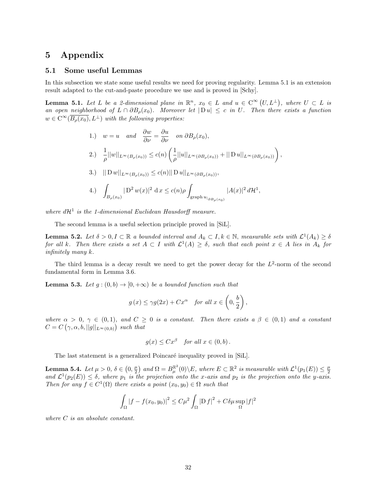## 5 Appendix

#### 5.1 Some useful Lemmas

In this subsection we state some useful results we need for proving regularity. Lemma 5.1 is an extension result adapted to the cut-and-paste procedure we use and is proved in [Schy].

**Lemma 5.1.** Let L be a 2-dimensional plane in  $\mathbb{R}^n$ ,  $x_0 \in L$  and  $u \in C^{\infty}(U, L^{\perp})$ , where  $U \subset L$  is an open neighborhood of  $L \cap \partial B_{\rho}(x_0)$ . Moreover let  $|D u| \leq c$  in U. Then there exists a function  $w \in C^{\infty}(\overline{B_{\rho}(x_0)}, L^{\perp})$  with the following properties:

1.) 
$$
w = u
$$
 and  $\frac{\partial w}{\partial \nu} = \frac{\partial u}{\partial \nu}$  on  $\partial B_{\rho}(x_0)$ ,  
\n2.)  $\frac{1}{\rho} ||w||_{L^{\infty}(B_{\rho}(x_0))} \le c(n) \left( \frac{1}{\rho} ||u||_{L^{\infty}(\partial B_{\rho}(x_0))} + ||Du||_{L^{\infty}(\partial B_{\rho}(x_0))} \right)$ ,  
\n3.)  $||Dw||_{L^{\infty}(B_{\rho}(x_0))} \le c(n) ||Du||_{L^{\infty}(\partial B_{\rho}(x_0))}$ ,  
\n4.)  $\int_{B_{\rho}(x_0)} |D^2 w(x)|^2 dx \le c(n) \rho \int_{\text{graph } u|_{\partial B_{\rho}(x_0)}} |A(x)|^2 d\mathcal{H}^1$ ,

where  $d\mathcal{H}^1$  is the 1-dimensional Euclidean Hausdorff measure.

The second lemma is a useful selection principle proved in [SiL].

**Lemma 5.2.** Let  $\delta > 0, I \subset \mathbb{R}$  a bounded interval and  $A_k \subset I, k \in \mathbb{N}$ , measurable sets with  $\mathcal{L}^1(A_k) \geq \delta$ for all k. Then there exists a set  $A \subset I$  with  $\mathcal{L}^1(A) \geq \delta$ , such that each point  $x \in A$  lies in  $A_k$  for infinitely many k.

The third lemma is a decay result we need to get the power decay for the  $L^2$ -norm of the second fundamental form in Lemma 3.6.

**Lemma 5.3.** Let  $g:(0,b) \to [0,+\infty)$  be a bounded function such that

$$
g(x) \leq \gamma g(2x) + Cx^{\alpha}
$$
 for all  $x \in \left(0, \frac{b}{2}\right)$ ,

where  $\alpha > 0$ ,  $\gamma \in (0,1)$ , and  $C \geq 0$  is a constant. Then there exists  $a \beta \in (0,1)$  and a constant  $C = C(\gamma, \alpha, b, ||g||_{L^{\infty}(0,b)})$  such that

$$
g(x) \leq Cx^{\beta} \quad \text{for all } x \in (0, b).
$$

The last statement is a generalized Poincaré inequality proved in [SiL].

**Lemma 5.4.** Let  $\mu > 0$ ,  $\delta \in (0, \frac{\mu}{2})$  and  $\Omega = B_{\mu}^{\mathbb{R}^2}(0) \setminus E$ , where  $E \subset \mathbb{R}^2$  is measurable with  $\mathcal{L}^1(p_1(E)) \leq \frac{\mu}{2}$  and  $\mathcal{L}^1(p_2(E)) \leq \delta$ , where  $p_1$  is the projection onto the x-axis and  $p_2$ Then for any  $f \in C^1(\Omega)$  there exists a point  $(x_0, y_0) \in \Omega$  such that

$$
\int_{\Omega} |f - f(x_0, y_0)|^2 \le C\mu^2 \int_{\Omega} |\mathcal{D} f|^2 + C\delta\mu \sup_{\Omega} |f|^2
$$

where C is an absolute constant.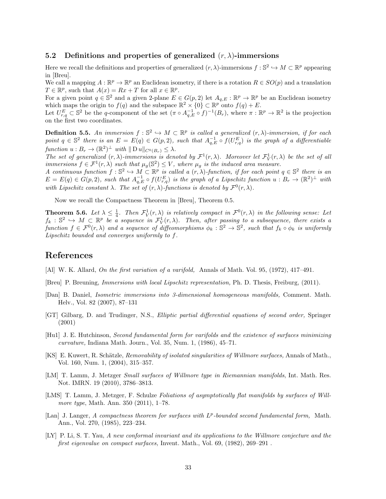#### 5.2 Definitions and properties of generalized  $(r, \lambda)$ -immersions

Here we recall the definitions and properties of generalized  $(r, \lambda)$ -immersions  $f : \mathbb{S}^2 \hookrightarrow M \subset \mathbb{R}^p$  appearing in [Breu].

We call a mapping  $A: \mathbb{R}^p \to \mathbb{R}^p$  an Euclidean isometry, if there is a rotation  $R \in SO(p)$  and a translation  $T \in \mathbb{R}^p$ , such that  $A(x) = Rx + T$  for all  $x \in \mathbb{R}^p$ .

For a given point  $q \in \mathbb{S}^2$  and a given 2-plane  $E \in G(p, 2)$  let  $A_{q,E}: \mathbb{R}^p \to \mathbb{R}^p$  be an Euclidean isometry which maps the origin to  $f(q)$  and the subspace  $\mathbb{R}^2 \times \{0\} \subset \mathbb{R}^p$  onto  $f(q) + E$ .

Let  $U_{r,q}^E \subset \mathbb{S}^2$  be the q-component of the set  $(\pi \circ A_{q,E}^{-1} \circ f)^{-1}(B_r)$ , where  $\pi : \mathbb{R}^p \to \mathbb{R}^2$  is the projection on the first two coordinates.

**Definition 5.5.** An immersion  $f : \mathbb{S}^2 \hookrightarrow M \subset \mathbb{R}^p$  is called a generalized  $(r, \lambda)$ -immersion, if for each point  $q \in \mathbb{S}^2$  there is an  $E = E(q) \in G(p, 2)$ , such that  $A_{q,E}^{-1} \circ f(U_{r,q}^E)$  is the graph of a differentiable function  $u : B_r \to (\mathbb{R}^2)^{\perp}$  with  $||D u||_{C^0(B_r)} \leq \lambda$ .

The set of generalized  $(r, \lambda)$ -immersions is denoted by  $\mathcal{F}^1(r, \lambda)$ . Moreover let  $\mathcal{F}^1_V(r, \lambda)$  be the set of all immersions  $f \in \mathcal{F}^1(r,\lambda)$  such that  $\mu_g(\mathbb{S}^2) \leq V$ , where  $\mu_g$  is the induced area measure.

A continuous function  $f : \mathbb{S}^2 \to M \subset \mathbb{R}^p$  is called a  $(r, \lambda)$ -function, if for each point  $q \in \mathbb{S}^2$  there is an  $E = E(q) \in G(p, 2)$ , such that  $A_{q, E}^{-1} \circ f(U_{r,q}^E)$  is the graph of a Lipschitz function  $u : B_r \to (\mathbb{R}^2)^{\perp}$  with with Lipschitz constant  $\lambda$ . The set of  $(r, \lambda)$ -functions is denoted by  $\mathcal{F}^0(r, \lambda)$ .

Now we recall the Compactness Theorem in [Breu], Theorem 0.5.

**Theorem 5.6.** Let  $\lambda \leq \frac{1}{4}$ . Then  $\mathcal{F}_{V}^{1}(r,\lambda)$  is relatively compact in  $\mathcal{F}^{0}(r,\lambda)$  in the following sense: Let  $f_k: \mathbb{S}^2 \hookrightarrow M \subset \mathbb{R}^p$  be a sequence in  $\mathcal{F}^1_V(r,\lambda)$ . Then, after passing to a subsequence, there exists a function  $f \in \mathcal{F}^0(r,\lambda)$  and a sequence of diffeomorphisms  $\phi_k : \mathbb{S}^2 \to \mathbb{S}^2$ , such that  $f_k \circ \phi_k$  is uniformly Lipschitz bounded and converges uniformly to f.

#### References

- [Al] W. K. Allard, On the first variation of a varifold, Annals of Math. Vol. 95, (1972), 417–491.
- [Breu] P. Breuning, Immersions with local Lipschitz representation, Ph. D. Thesis, Freiburg, (2011).
- [Dan] B. Daniel, Isometric immersions into 3-dimensional homogeneous manifolds, Comment. Math. Helv., Vol. 82 (2007), 87–131
- [GT] Gilbarg, D. and Trudinger, N.S., Elliptic partial differential equations of second order, Springer (2001)
- [Hu1] J. E. Hutchinson, Second fundamental form for varifolds and the existence of surfaces minimizing curvature, Indiana Math. Journ., Vol. 35, Num. 1, (1986), 45–71.
- [KS] E. Kuwert, R. Schätzle, *Removability of isolated singularities of Willmore surfaces*, Annals of Math., Vol. 160, Num. 1, (2004), 315–357.
- [LM] T. Lamm, J. Metzger Small surfaces of Willmore type in Riemannian manifolds, Int. Math. Res. Not. IMRN. 19 (2010), 3786–3813.
- [LMS] T. Lamm, J. Metzger, F. Schulze Foliations of asymptotically flat manifolds by surfaces of Willmore type, Math. Ann. 350 (2011), 1–78.
- [Lan] J. Langer, A compactness theorem for surfaces with L<sup>p</sup>-bounded second fundamental form, Math. Ann., Vol. 270, (1985), 223–234.
- [LY] P. Li, S. T. Yau, A new conformal invariant and its applications to the Willmore conjecture and the first eigenvalue on compact surfaces, Invent. Math., Vol. 69, (1982), 269–291 .